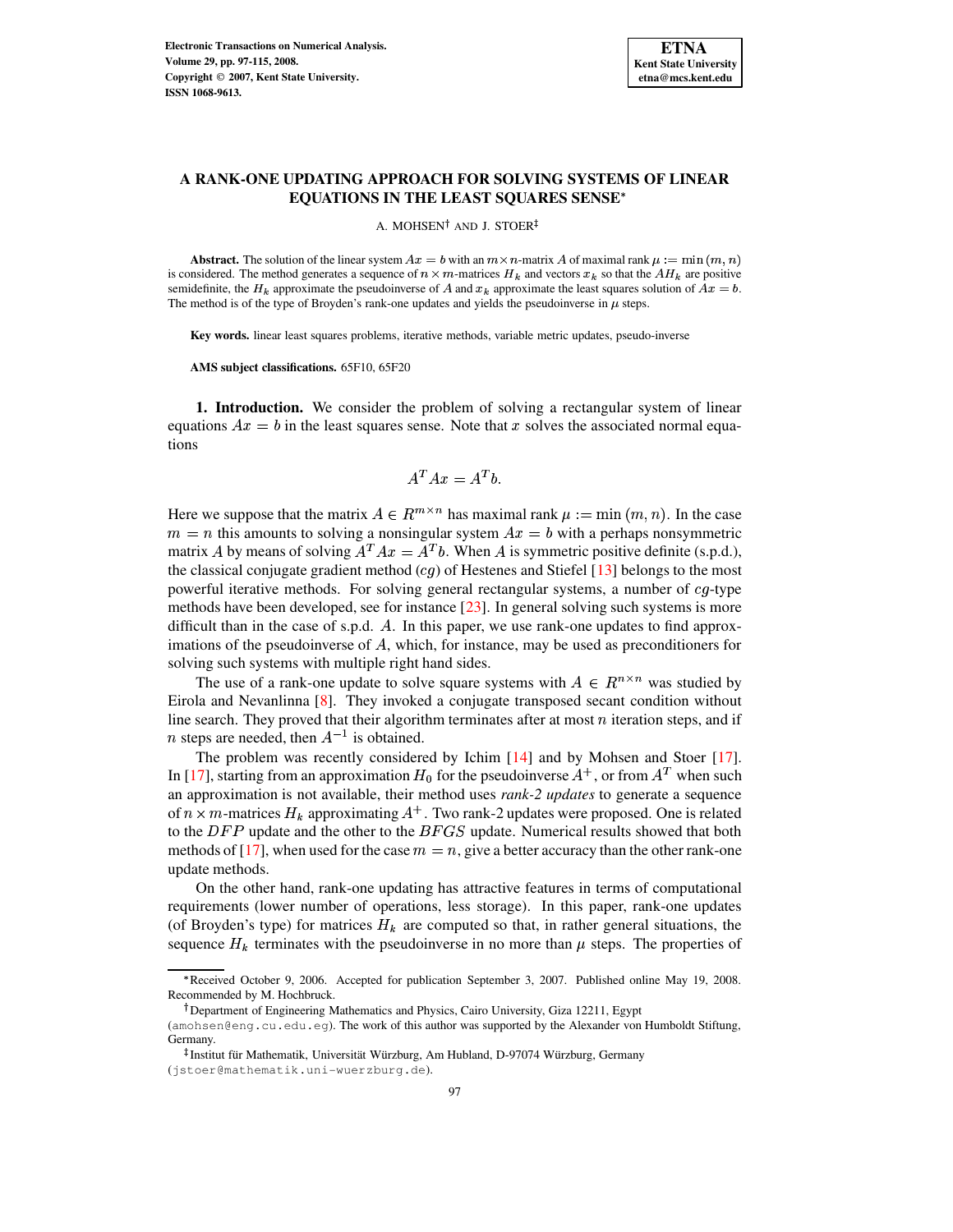

# **A RANK-ONE UPDATING APPROACH FOR SOLVING SYSTEMS OF LINEAR EQUATIONS IN THE LEAST SQUARES SENSE**

A. MOHSEN<sup>†</sup> AND J. STOER

**Abstract.** The solution of the linear system  $Ax = b$  with an  $m \times n$ -matrix A of maximal rank  $\mu := \min(m, n)$ is considered. The method generates a sequence of  $n \times m$ -matrices  $H_k$  and vectors  $x_k$  so that the  $AH_k$  are positive semidefinite, the  $H_k$  approximate the pseudoinverse of A and  $x_k$  approximate the least squares solution of  $Ax = b$ . The method is of the type of Broyden's rank-one updates and yields the pseudoinverse in  $\mu$  steps.

**Key words.** linear least squares problems, iterative methods, variable metric updates, pseudo-inverse

**AMS subject classifications.** 65F10, 65F20

**1. Introduction.** We consider the problem of solving a rectangular system of linear equations  $Ax = b$  in the least squares sense. Note that x solves the associated normal equations

$$
A^T A x = A^T b.
$$

Here we suppose that the matrix  $A \in \mathbb{R}^{m \times n}$  has maximal rank  $\mu := \min(m, n)$ . In the case  $m = n$  this amounts to solving a nonsingular system  $Ax = b$  with a perhaps nonsymmetric matrix A by means of solving  $A^T A x = A^T b$ . When A is symmetric positive definite (s.p.d.), the classical conjugate gradient method  $(cq)$  of Hestenes and Stiefel [\[13\]](#page-18-0) belongs to the most powerful iterative methods. For solving general rectangular systems, a number of  $cg$ -type methods have been developed, see for instance [\[23\]](#page-18-1). In general solving such systems is more difficult than in the case of s.p.d.  $A$ . In this paper, we use rank-one updates to find approximations of the pseudoinverse of  $A$ , which, for instance, may be used as preconditioners for solving such systems with multiple right hand sides.

The use of a rank-one update to solve square systems with  $A \in \mathbb{R}^{n \times n}$  was studied by Eirola and Nevanlinna [\[8\]](#page-17-0). They invoked a conjugate transposed secant condition without line search. They proved that their algorithm terminates after at most  $n$  iteration steps, and if *n* steps are needed, then  $A^{-1}$  is obtained.

The problem was recently considered by Ichim [\[14\]](#page-18-2) and by Mohsen and Stoer [\[17\]](#page-18-3). In [\[17\]](#page-18-3), starting from an approximation  $H_0$  for the pseudoinverse  $A^+$ , or from  $A^T$  when such an approximation is not available, their method uses *rank-2 updates* to generate a sequence of  $n \times m$ -matrices  $H_k$  approximating  $A^+$ . Two rank-2 updates were proposed. One is related to the  $DFP$  update and the other to the  $BFGS$  update. Numerical results showed that both methods of [\[17\]](#page-18-3), when used for the case  $m = n$ , give a better accuracy than the other rank-one update methods.

On the other hand, rank-one updating has attractive features in terms of computational requirements (lower number of operations, less storage). In this paper, rank-one updates (of Broyden's type) for matrices  $H_k$  are computed so that, in rather general situations, the sequence  $H_k$  terminates with the pseudoinverse in no more than  $\mu$  steps. The properties of

e Received October 9, 2006. Accepted for publication September 3, 2007. Published online May 19, 2008. Recommended by M. Hochbruck.

Department of Engineering Mathematics and Physics, Cairo University, Giza 12211, Egypt

<sup>(</sup>amohsen@eng.cu.edu.eg). The work of this author was supported by the Alexander von Humboldt Stiftung, Germany.

<sup>&</sup>lt;sup>‡</sup> Institut für Mathematik, Universität Würzburg, Am Hubland, D-97074 Würzburg, Germany (jstoer@mathematik.uni-wuerzburg.de).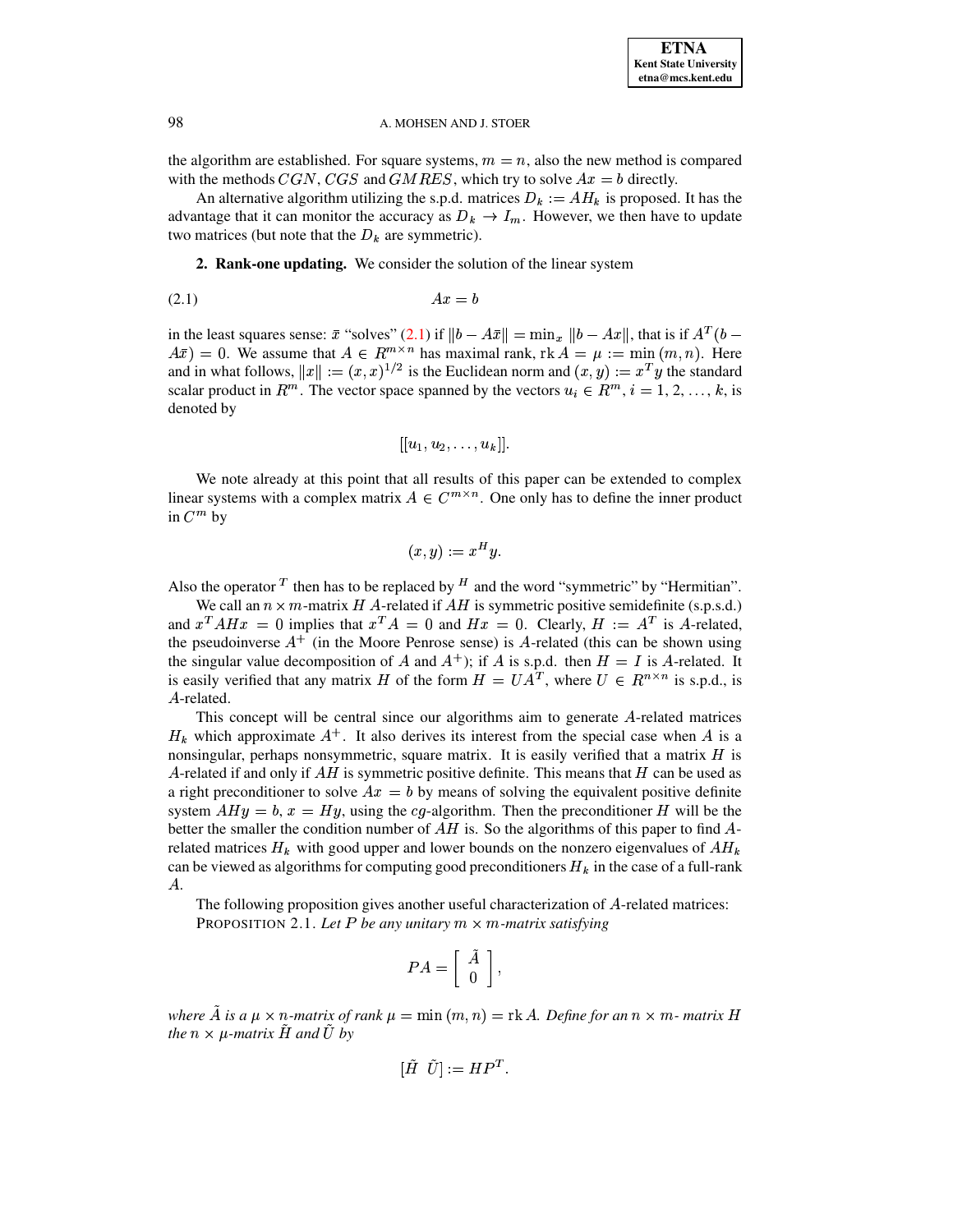the algorithm are established. For square systems,  $m = n$ , also the new method is compared with the methods  $CGN, CGS$  and  $GMRES$ , which try to solve  $Ax = b$  directly.

An alternative algorithm utilizing the s.p.d. matrices  $D_k := AH_k$  is proposed. It has the advantage that it can monitor the accuracy as  $D_k \to I_m$ . However, we then have to update two matrices (but note that the  $D_k$  are symmetric).

<span id="page-1-0"></span>**2. Rank-one updating.** We consider the solution of the linear system

$$
(2.1)\quad \ \ \, Ax = b
$$

in the least squares sense:  $\bar{x}$  "solves" [\(2.1\)](#page-1-0) if  $||b - A\bar{x}|| = \min_x ||b - Ax||$ , that is if  $A^T(b - b)$  $\overline{A\bar{x}}$  = 0. We assume that  $A \in \mathbb{R}^{m \times n}$  has maximal rank,  $\text{rk } A = \mu := \min(m, n)$ . Here and in what follows,  $||x|| := (x, x)^{1/2}$  is the Euclidean norm and  $(x, y) := x^T y$  the standard scalar product in  $R^m$ . The vector space spanned by the vectors  $u_i \in R^m$ ,  $i = 1, 2, ..., k$ , is denoted by

$$
[[u_1,u_2,\ldots,u_k]].
$$

We note already at this point that all results of this paper can be extended to complex linear systems with a complex matrix  $A \in C^{m \times n}$ . One only has to define the inner product in  $C^m$  by

$$
(x,y) := x^H y.
$$

Also the operator  $T$  then has to be replaced by  $H$  and the word "symmetric" by "Hermitian".

We call an  $n \times m$ -matrix H A-related if AH is symmetric positive semidefinite (s.p.s.d.) and  $x^T A H x = 0$  implies that  $x^T A = 0$  and  $H x = 0$ . Clearly,  $H := A^T$  is A-related, the pseudoinverse  $A^+$  (in the Moore Penrose sense) is A-related (this can be shown using the singular value decomposition of A and  $A^+$ ; if A is s.p.d. then  $H = I$  is A-related. It is easily verified that any matrix H of the form  $H = UA^T$ , where  $U \in R^{n \times n}$  is s.p.d., is A-related.

This concept will be central since our algorithms aim to generate  $A$ -related matrices  $H_k$  which approximate  $A^+$ . It also derives its interest from the special case when A is a nonsingular, perhaps nonsymmetric, square matrix. It is easily verified that a matrix  $H$  is A-related if and only if  $AH$  is symmetric positive definite. This means that H can be used as a right preconditioner to solve  $Ax = b$  by means of solving the equivalent positive definite system  $AHy = b$ ,  $x = Hy$ , using the cg-algorithm. Then the preconditioner H will be the better the smaller the condition number of  $AH$  is. So the algorithms of this paper to find  $A$ related matrices  $H_k$  with good upper and lower bounds on the nonzero eigenvalues of  $AH_k$ can be viewed as algorithms for computing good preconditioners  $H_k$  in the case of a full-rank  $A$ .

<span id="page-1-1"></span>The following proposition gives another useful characterization of  $A$ -related matrices: PROPOSITION 2.1. Let P be any unitary  $m \times m$ -matrix satisfying

$$
PA = \left[ \begin{array}{c} \tilde{A} \\ 0 \end{array} \right],
$$

*where*  $\tilde{A}$  *is*  $a \mu \times n$ -matrix of rank  $\mu = \min(m, n) = \text{rk } A$ . Define for an  $n \times m$ - matrix H *the*  $n \times \mu$ *-matrix*  $\hat{H}$  *and*  $\hat{U}$  *by* 

$$
[\tilde{H} \ \ \tilde{U}] := HP^T.
$$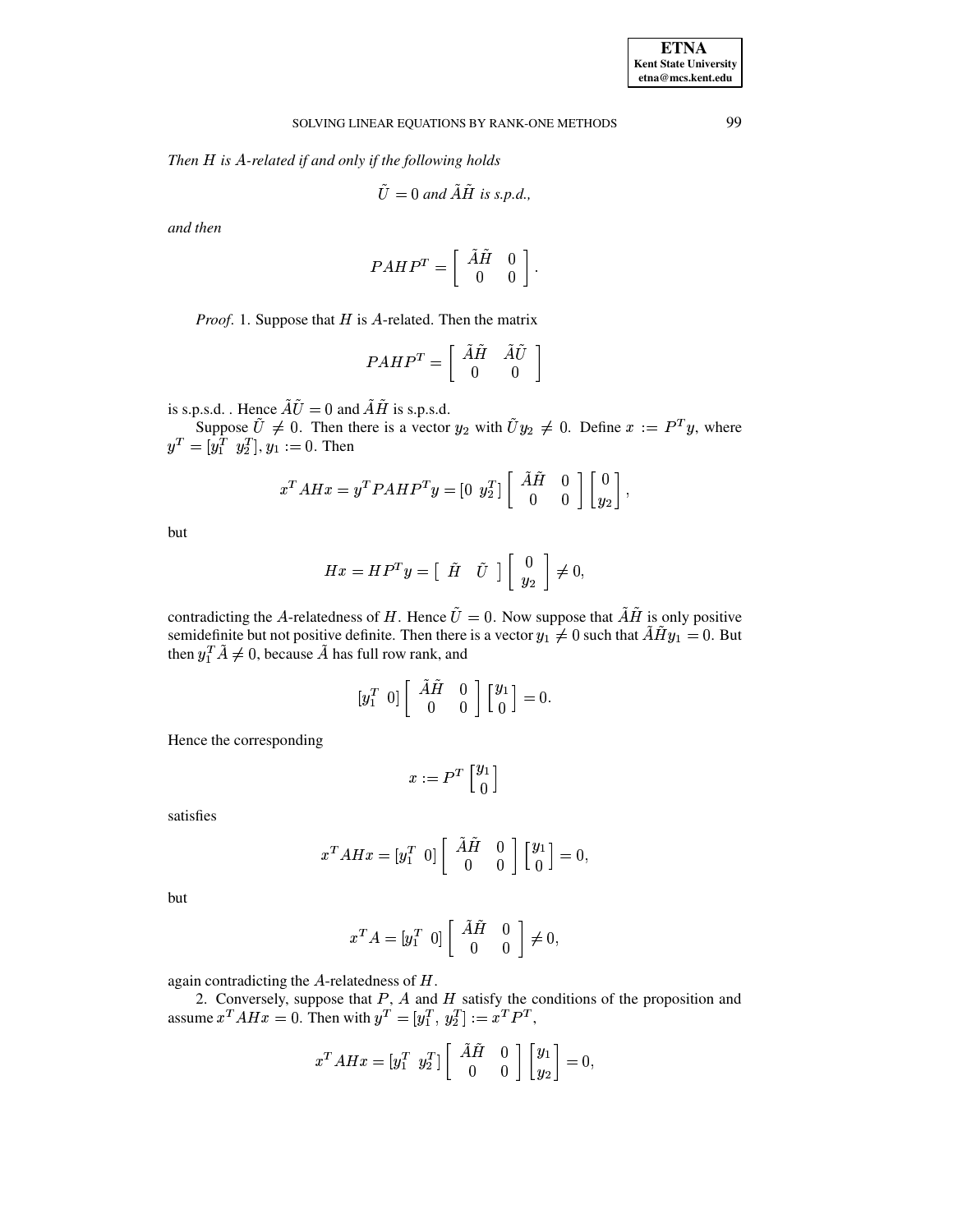*Then H* is A-related if and only if the following holds

$$
\tilde{U} = 0 \text{ and } \tilde{A}\tilde{H} \text{ is s.p.d.},
$$

*and then*

$$
PAHP^T=\left[\begin{array}{cc} \tilde{A}\tilde{H} & 0 \\ 0 & 0 \end{array}\right].
$$

*Proof.* 1. Suppose that  $H$  is  $A$ -related. Then the matrix

$$
PAHP^T=\left[\begin{array}{cc} \tilde{A}\tilde{H} & \tilde{A}\tilde{U}\\ 0 & 0 \end{array}\right]
$$

is s.p.s.d. . Hence  $\tilde{A}\tilde{U} = 0$  and  $\tilde{A}\tilde{H}$  is s.p.s.d.

Suppose  $\tilde{U} \neq 0$ . Then there is a vector  $y_2$  with  $\tilde{U}y_2 \neq 0$ . Define  $x := P^T y$ , where  $y^T = [y_1^T \ y_2^T]$ ,  $y_1 := 0$ . Then

$$
x^T A H x = y^T P A H P^T y = \begin{bmatrix} 0 & y_2^T \end{bmatrix} \begin{bmatrix} \tilde{A} \tilde{H} & 0 \\ 0 & 0 \end{bmatrix} \begin{bmatrix} 0 \\ y_2 \end{bmatrix},
$$

but

$$
H x = H P^T y = \begin{bmatrix} \tilde{H} & \tilde{U} \end{bmatrix} \begin{bmatrix} 0 \\ y_2 \end{bmatrix} \neq 0,
$$

contradicting the A-relatedness of H. Hence  $\tilde{U} = 0$ . Now suppose that  $\tilde{A}H$  is only positive semidefinite but not positive definite. Then there is a vector  $y_1 \neq 0$  such that  $\overrightarrow{AH}y_1 = 0$ . But then  $y_1^T \hat{A} \neq 0$ , because  $\hat{A}$  has full row rank, and

$$
\begin{bmatrix} y_1^T & 0 \end{bmatrix} \begin{bmatrix} \tilde{A}\tilde{H} & 0 \\ 0 & 0 \end{bmatrix} \begin{bmatrix} y_1 \\ 0 \end{bmatrix} = 0.
$$

Hence the corresponding

$$
x:=P^T \left[ {y_1 \atop 0} \right]
$$

satisfies

$$
x^T A H x = \begin{bmatrix} y_1^T & 0 \end{bmatrix} \begin{bmatrix} \overrightarrow{A} \overrightarrow{H} & 0 \\ 0 & 0 \end{bmatrix} \begin{bmatrix} y_1 \\ 0 \end{bmatrix} = 0,
$$

but

$$
x^T A = \begin{bmatrix} y_1^T & 0 \end{bmatrix} \begin{bmatrix} \tilde{A}\tilde{H} & 0 \\ 0 & 0 \end{bmatrix} \neq 0,
$$

again contradicting the  $A$ -relatedness of  $H$ .

2. Conversely, suppose that  $P$ ,  $A$  and  $H$  satisfy the conditions of the proposition and assume  $x^T A H x = 0$ . Then with  $y^T = [y_1^T, y_2^T] := x^T P^T$ ,

$$
x^T A H x = \begin{bmatrix} y_1^T & y_2^T \end{bmatrix} \begin{bmatrix} \tilde{A} \tilde{H} & 0 \\ 0 & 0 \end{bmatrix} \begin{bmatrix} y_1 \\ y_2 \end{bmatrix} = 0,
$$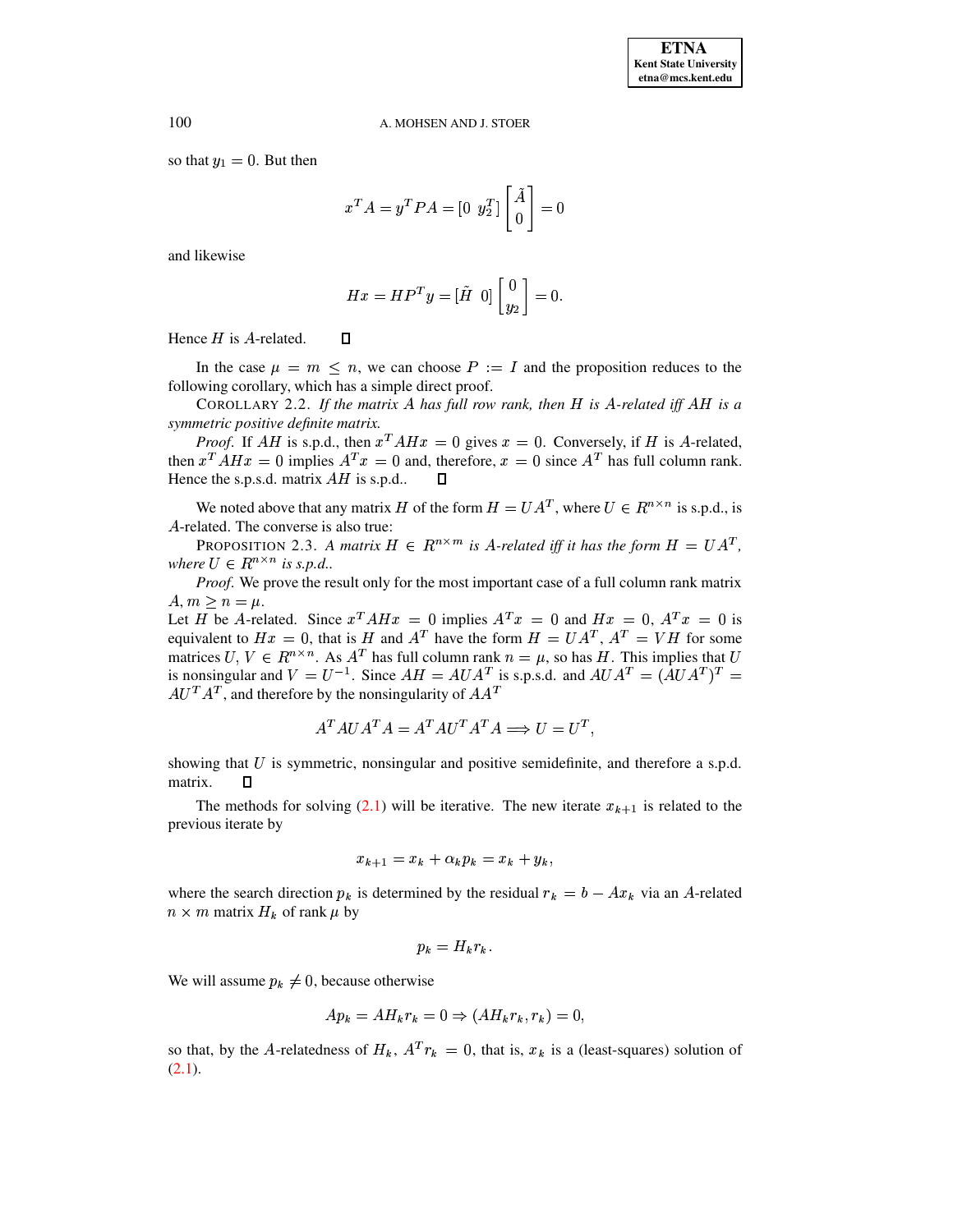so that  $y_1 = 0$ . But then

$$
x^T A = y^T P A = \begin{bmatrix} 0 & y_2^T \end{bmatrix} \begin{bmatrix} \tilde{A} \\ 0 \end{bmatrix} = 0
$$

and likewise

$$
Hx = HP^{T}y = [\tilde{H} \ 0] \begin{bmatrix} 0 \\ y_2 \end{bmatrix} = 0.
$$

Hence  $H$  is A-related.  $\Box$ 

In the case  $\mu = m \le n$ , we can choose  $P := I$  and the proposition reduces to the following corollary, which has a simple direct proof.

COROLLARY 2.2. If the matrix A has full row rank, then H is A-related iff AH is a *symmetric positive definite matrix.*

*Proof.* If AH is s.p.d., then  $x^T A H x = 0$  gives  $x = 0$ . Conversely, if H is A-related, then  $x^T A H x = 0$  implies  $A^T x = 0$  and, therefore,  $x = 0$  since  $A^T$  has full column rank. Hence the s.p.s.d. matrix  $AH$  is s.p.d..  $\square$ 

We noted above that any matrix H of the form  $H = UA^T$ , where  $U \in R^{n \times n}$  is s.p.d., is A-related. The converse is also true:

<span id="page-3-0"></span>**PROPOSITION 2.3.** A matrix  $H \in R^{n \times m}$  is A-related iff it has the form  $H = UA^T$ , *where*  $U \in R^{n \times n}$  *is s.p.d..* 

*Proof.* We prove the result only for the most important case of a full column rank matrix  $A, m \geq n = \mu$ .

Let H be A-related. Since  $x^T A H x = 0$  implies  $A^T x = 0$  and  $H x = 0$ ,  $A^T x = 0$  is equivalent to  $Hx = 0$ , that is H and  $A<sup>T</sup>$  have the form  $H = UA<sup>T</sup>, A<sup>T</sup> = VH$  for some matrices  $U, V \in R^{n \times n}$ . As  $A<sup>T</sup>$  has full column rank  $n = \mu$ , so has H. This implies that U is nonsingular and  $V = U^{-1}$ . Since  $AH = AUA^{T}$  is s.p.s.d. and  $AUA^{T} = (AUA^{T})^{T} =$  $AU^T A^T$ , and therefore by the nonsingularity of  $AA^T$ 

$$
A^T A U A^T A = A^T A U^T A^T A \Longrightarrow U = U^T,
$$

showing that  $U$  is symmetric, nonsingular and positive semidefinite, and therefore a s.p.d. matrix.  $\Box$ 

The methods for solving [\(2.1\)](#page-1-0) will be iterative. The new iterate  $x_{k+1}$  is related to the previous iterate by

$$
x_{k+1} = x_k + \alpha_k p_k = x_k + y_k,
$$

where the search direction  $p_k$  is determined by the residual  $r_k = b - Ax_k$  via an A-related  $n \times m$  matrix  $H_k$  of rank  $\mu$  by

$$
p_k = H_k r_k.
$$

We will assume  $p_k \neq 0$ , because otherwise

$$
Ap_k = AH_k r_k = 0 \Rightarrow (AH_k r_k, r_k) = 0,
$$

so that, by the A-relatedness of  $H_k$ ,  $A^T r_k = 0$ , that is,  $x_k$  is a (least-squares) solution of  $(2.1).$  $(2.1).$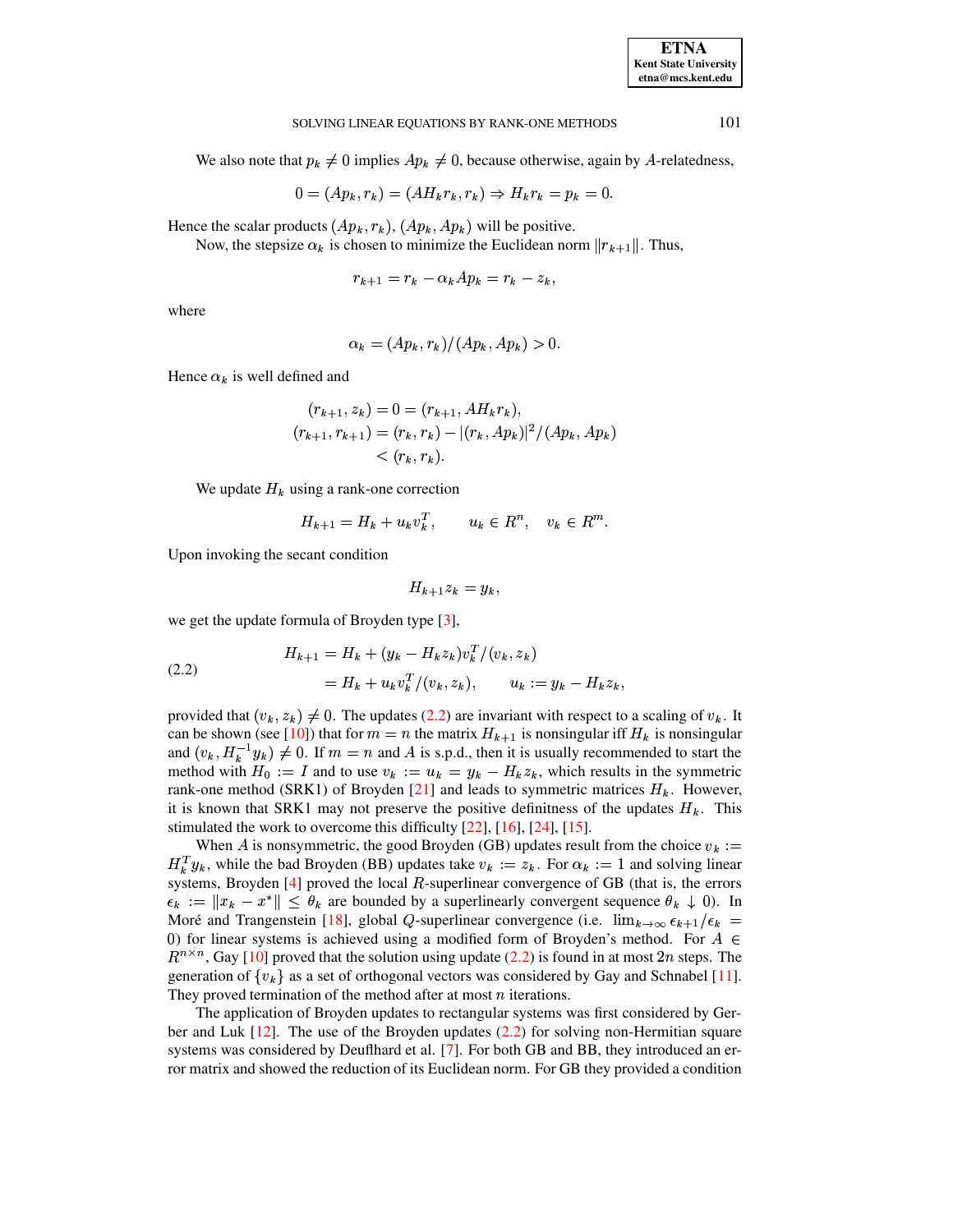101

#### SOLVING LINEAR EQUATIONS BY RANK-ONE METHODS

We also note that  $p_k \neq 0$  implies  $Ap_k \neq 0$ , because otherwise, again by A-relatedness,

$$
0 = (Ap_k, r_k) = (AH_kr_k, r_k) \Rightarrow H_kr_k = p_k = 0.
$$

Hence the scalar products  $(Ap_k, r_k)$ ,  $(Ap_k, Ap_k)$  will be positive.

Now, the stepsize  $\alpha_k$  is chosen to minimize the Euclidean norm  $||r_{k+1}||$ . Thus,

$$
r_{k+1} = r_k - \alpha_k Ap_k = r_k - z_k
$$

where

$$
\alpha_k = (Ap_k, r_k)/(Ap_k, Ap_k) > 0.
$$

Hence  $\alpha_k$  is well defined and

$$
(r_{k+1}, z_k) = 0 = (r_{k+1}, AH_kr_k),
$$
  
\n
$$
(r_{k+1}, r_{k+1}) = (r_k, r_k) - |(r_k, Ap_k)|^2 / (Ap_k, Ap_k)
$$
  
\n
$$
< (r_k, r_k).
$$

We update  $H_k$  using a rank-one correction

$$
H_{k+1} = H_k + u_k v_k^T, \qquad u_k \in R^n, \quad v_k \in R^m.
$$

Upon invoking the secant condition

$$
H_{k+1}z_k=y_k,
$$

we get the update formula of Broyden type  $[3]$ ,

<span id="page-4-0"></span>(2.2) 
$$
H_{k+1} = H_k + (y_k - H_k z_k) v_k^T / (v_k, z_k)
$$

$$
= H_k + u_k v_k^T / (v_k, z_k), \qquad u_k := y_k - H_k z_k
$$

provided that  $(v_k, z_k) \neq 0$ . The updates (2.2) are invariant with respect to a scaling of  $v_k$ . It can be shown (see [10]) that for  $m = n$  the matrix  $H_{k+1}$  is nonsingular iff  $H_k$  is nonsingular and  $(v_k, H_k^{-1}y_k) \neq 0$ . If  $m = n$  and A is s.p.d., then it is usually recommended to start the method with  $H_0 := I$  and to use  $v_k := u_k = y_k - H_k z_k$ , which results in the symmetric rank-one method (SRK1) of Broyden [21] and leads to symmetric matrices  $H_k$ . However, it is known that SRK1 may not preserve the positive definities of the updates  $H_k$ . This stimulated the work to overcome this difficulty  $[22]$ ,  $[16]$ ,  $[24]$ ,  $[15]$ .

When A is nonsymmetric, the good Broyden (GB) updates result from the choice  $v_k :=$  $H_k^T y_k$ , while the bad Broyden (BB) updates take  $v_k := z_k$ . For  $\alpha_k := 1$  and solving linear systems, Broyden  $[4]$  proved the local  $R$ -superlinear convergence of GB (that is, the errors  $\epsilon_k := ||x_k - x^*|| \leq \theta_k$  are bounded by a superlinearly convergent sequence  $\theta_k \downarrow 0$ . In Moré and Trangenstein [18], global Q-superlinear convergence (i.e.  $\lim_{k\to\infty} \epsilon_{k+1}/\epsilon_k =$ 0) for linear systems is achieved using a modified form of Broyden's method. For  $A \in$  $R^{n \times n}$ , Gay [10] proved that the solution using update (2.2) is found in at most 2n steps. The generation of  $\{v_k\}$  as a set of orthogonal vectors was considered by Gay and Schnabel [11]. They proved termination of the method after at most  $n$  iterations.

The application of Broyden updates to rectangular systems was first considered by Gerber and Luk  $[12]$ . The use of the Broyden updates  $(2.2)$  for solving non-Hermitian square systems was considered by Deuflhard et al. [7]. For both GB and BB, they introduced an error matrix and showed the reduction of its Euclidean norm. For GB they provided a condition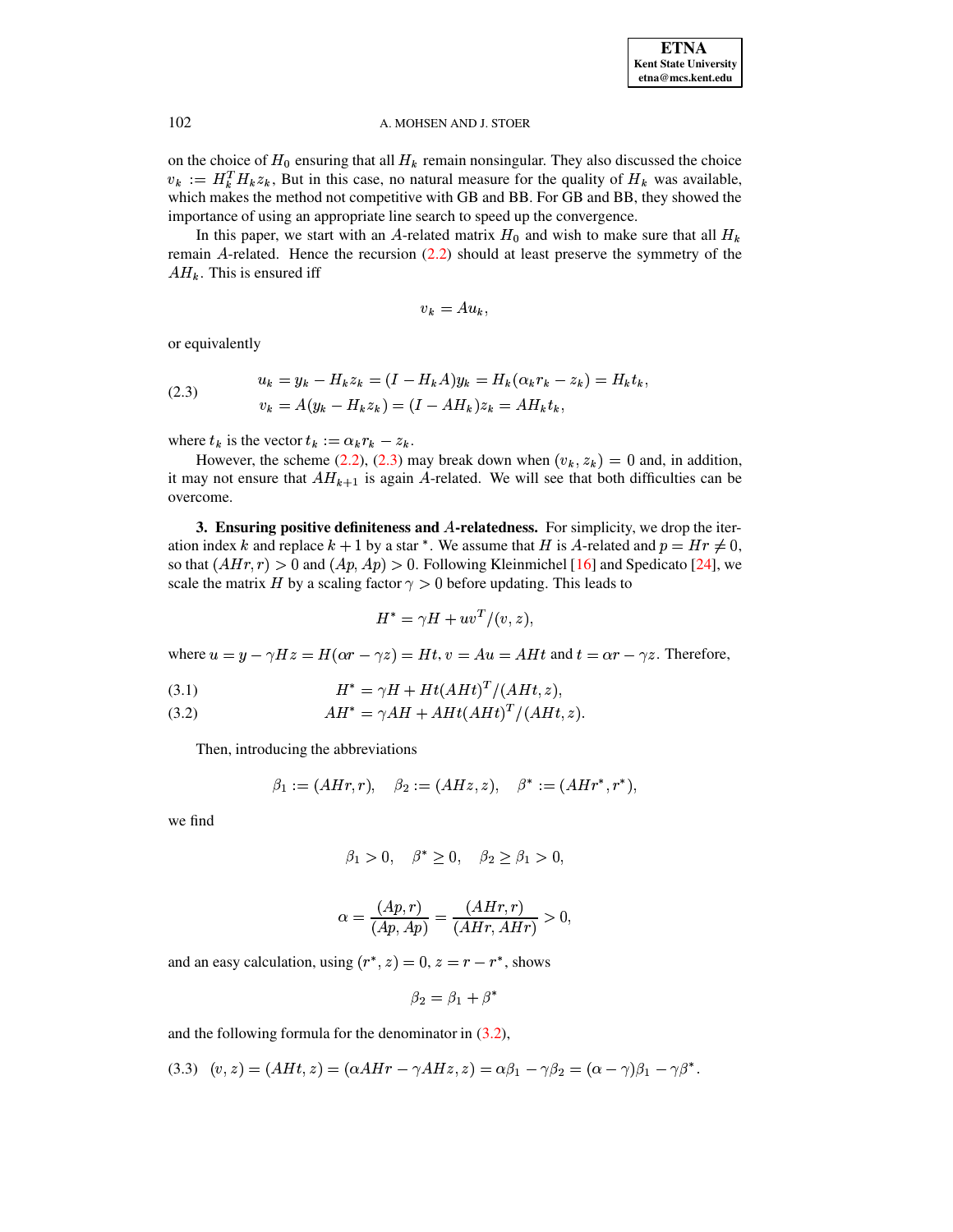on the choice of  $H_0$  ensuring that all  $H_k$  remain nonsingular. They also discussed the choice  $v_k := H_k^T H_k z_k$ , But in this case, no natural measure for the quality of  $H_k$  was available, which makes the method not competitive with GB and BB. For GB and BB, they showed the importance of using an appropriate line search to speed up the convergence.

In this paper, we start with an A-related matrix  $H_0$  and wish to make sure that all  $H_k$ remain A-related. Hence the recursion  $(2.2)$  should at least preserve the symmetry of the  $AH_k$ . This is ensured iff

$$
v_k = Au_k,
$$

or equivalently

<span id="page-5-0"></span>(2.3) 
$$
u_k = y_k - H_k z_k = (I - H_k A) y_k = H_k (\alpha_k r_k - z_k) = H_k t_k,
$$

$$
v_k = A(y_k - H_k z_k) = (I - A H_k) z_k = A H_k t_k,
$$

where  $t_k$  is the vector  $t_k := \alpha_k r_k - z_k$ .

However, the scheme (2.2), (2.3) may break down when  $(v_k, z_k) = 0$  and, in addition, it may not ensure that  $AH_{k+1}$  is again A-related. We will see that both difficulties can be overcome.

3. Ensuring positive definiteness and A-relatedness. For simplicity, we drop the iteration index k and replace  $k + 1$  by a star \*. We assume that H is A-related and  $p = Hr \neq 0$ , so that  $(AHr, r) > 0$  and  $(Ap, Ap) > 0$ . Following Kleinmichel [16] and Spedicato [24], we scale the matrix H by a scaling factor  $\gamma > 0$  before updating. This leads to

$$
H^* = \gamma H + uv^T/(v, z),
$$

where  $u = y - \gamma Hz = H(\alpha r - \gamma z) = Ht$ ,  $v = Au = AHt$  and  $t = \alpha r - \gamma z$ . Therefore,

<span id="page-5-1"></span>
$$
(3.1) \tH^* = \gamma H + Ht(AHt)^T/(AHt, z),
$$

(3.2) 
$$
AH^* = \gamma AH + AHt(AHt)^T/(AHt,z).
$$

Then, introducing the abbreviations

$$
\beta_1 := (A H r, r), \quad \beta_2 := (A H z, z), \quad \beta^* := (A H r^*, r^*),
$$

we find

$$
\beta_1 > 0, \quad \beta^* \ge 0, \quad \beta_2 \ge \beta_1 > 0,
$$

$$
\alpha = \frac{(Ap, r)}{(Ap, Ap)} = \frac{(A H r, r)}{(A H r, A H r)} > 0,
$$

and an easy calculation, using  $(r^*, z) = 0$ ,  $z = r - r^*$ , shows

$$
\beta_2 = \beta_1 + \beta^*
$$

and the following formula for the denominator in  $(3.2)$ ,

<span id="page-5-2"></span>
$$
(3.3) (v, z) = (AHt, z) = (\alpha A Hr - \gamma AHz, z) = \alpha \beta_1 - \gamma \beta_2 = (\alpha - \gamma)\beta_1 - \gamma \beta^*.
$$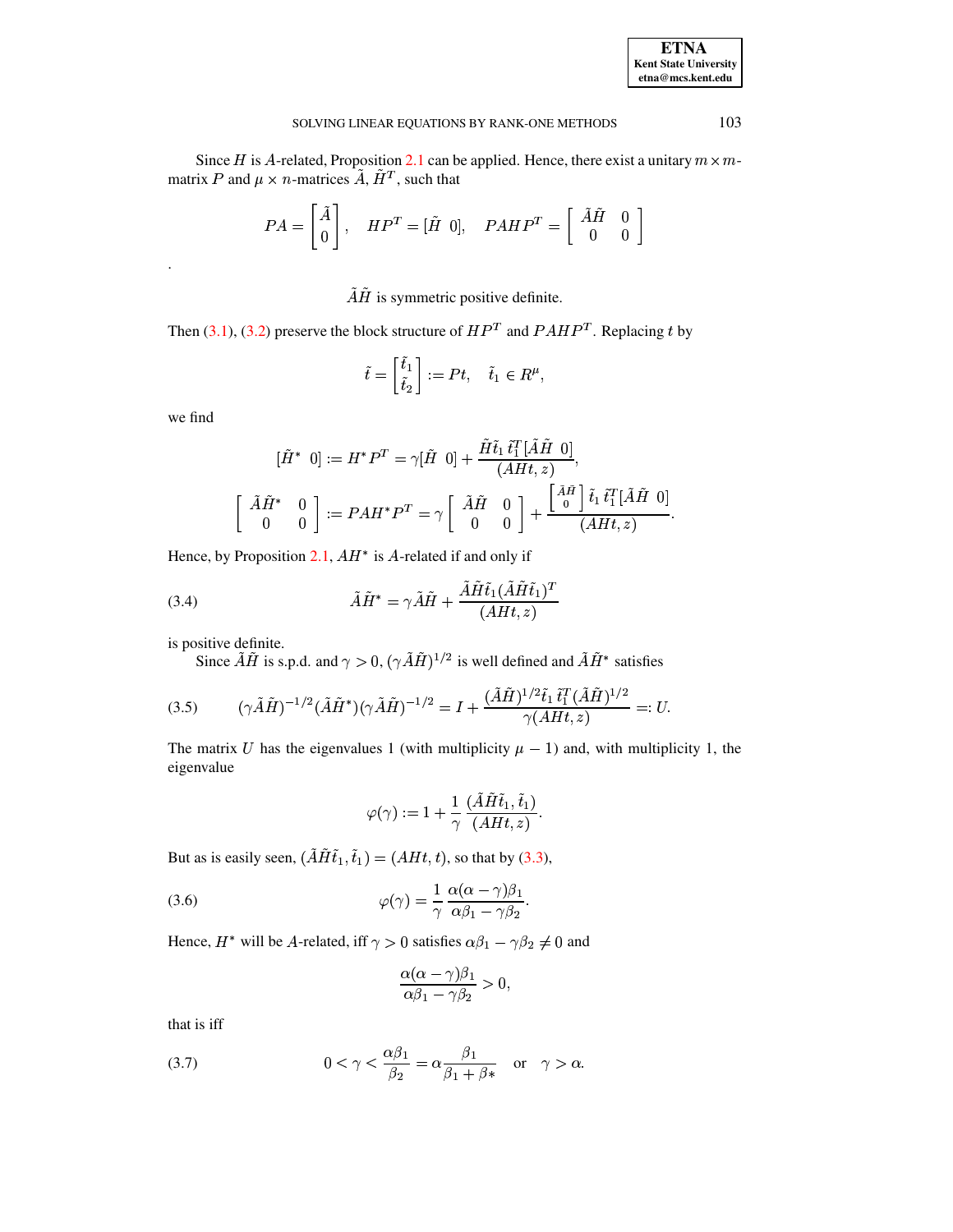Since *H* is *A*-related, Proposition 2.1 can be applied. Hence, there exist a unitary  $m \times m$ matrix P and  $\mu \times n$ -matrices  $\tilde{A}$ ,  $\tilde{H}^T$ , such that

$$
PA = \begin{bmatrix} \tilde{A} \\ 0 \end{bmatrix}, \quad HP^T = [\tilde{H} \ 0], \quad PAHP^T = \begin{bmatrix} \tilde{A}\tilde{H} & 0 \\ 0 & 0 \end{bmatrix}
$$

 $\tilde{A}\tilde{H}$  is symmetric positive definite.

Then (3.1), (3.2) preserve the block structure of  $HP<sup>T</sup>$  and  $PAHP<sup>T</sup>$ . Replacing t by

$$
\tilde{t} = \begin{bmatrix} \tilde{t}_1 \\ \tilde{t}_2 \end{bmatrix} := Pt, \quad \tilde{t}_1 \in R^{\mu},
$$

we find

$$
[\tilde{H}^* \ 0] := H^*P^T = \gamma[\tilde{H} \ 0] + \frac{\tilde{H}\tilde{t}_1 \, \tilde{t}_1^T [\tilde{A}\tilde{H} \ 0]}{(AHt,z)},
$$

$$
\begin{bmatrix} \tilde{A}\tilde{H}^* \ 0 \\ 0 \end{bmatrix} := PAH^*P^T = \gamma \begin{bmatrix} \tilde{A}\tilde{H} \ 0 \\ 0 \end{bmatrix} + \frac{\begin{bmatrix} \tilde{A}\tilde{H} \\ 0 \end{bmatrix} \tilde{t}_1 \, \tilde{t}_1^T [\tilde{A}\tilde{H} \ 0]}{(AHt,z)}
$$

Hence, by Proposition 2.1,  $AH^*$  is A-related if and only if

<span id="page-6-1"></span>(3.4) 
$$
\tilde{A}\tilde{H}^* = \gamma \tilde{A}\tilde{H} + \frac{\tilde{A}\tilde{H}\tilde{t}_1(\tilde{A}\tilde{H}\tilde{t}_1)^T}{(AH, z)}
$$

is positive definite.

Since  $\tilde{A}\tilde{H}$  is s.p.d. and  $\gamma > 0$ ,  $(\gamma \tilde{A}\tilde{H})^{1/2}$  is well defined and  $\tilde{A}\tilde{H}^*$  satisfies

<span id="page-6-2"></span>
$$
(3.5) \qquad (\gamma \tilde{A}\tilde{H})^{-1/2} (\tilde{A}\tilde{H}^*)(\gamma \tilde{A}\tilde{H})^{-1/2} = I + \frac{(\tilde{A}\tilde{H})^{1/2} \tilde{t}_1 \tilde{t}_1^T (\tilde{A}\tilde{H})^{1/2}}{\gamma (A H t, z)} =: U.
$$

The matrix U has the eigenvalues 1 (with multiplicity  $\mu - 1$ ) and, with multiplicity 1, the eigenvalue

$$
\varphi(\gamma) := 1 + \frac{1}{\gamma} \frac{(\tilde{A} \tilde{H} \tilde{t}_1, \tilde{t}_1)}{(A H t, z)}.
$$

But as is easily seen,  $(\tilde{A}H\tilde{t}_1, \tilde{t}_1) = (A H t, t)$ , so that by (3.3),

<span id="page-6-3"></span>(3.6) 
$$
\varphi(\gamma) = \frac{1}{\gamma} \frac{\alpha(\alpha - \gamma)\beta_1}{\alpha\beta_1 - \gamma\beta_2}.
$$

Hence,  $H^*$  will be A-related, iff  $\gamma > 0$  satisfies  $\alpha \beta_1 - \gamma \beta_2 \neq 0$  and

$$
\frac{\alpha(\alpha-\gamma)\beta_1}{\alpha\beta_1-\gamma\beta_2}>0,
$$

that is iff

<span id="page-6-0"></span>(3.7) 
$$
0 < \gamma < \frac{\alpha \beta_1}{\beta_2} = \alpha \frac{\beta_1}{\beta_1 + \beta_*} \quad \text{or} \quad \gamma > \alpha.
$$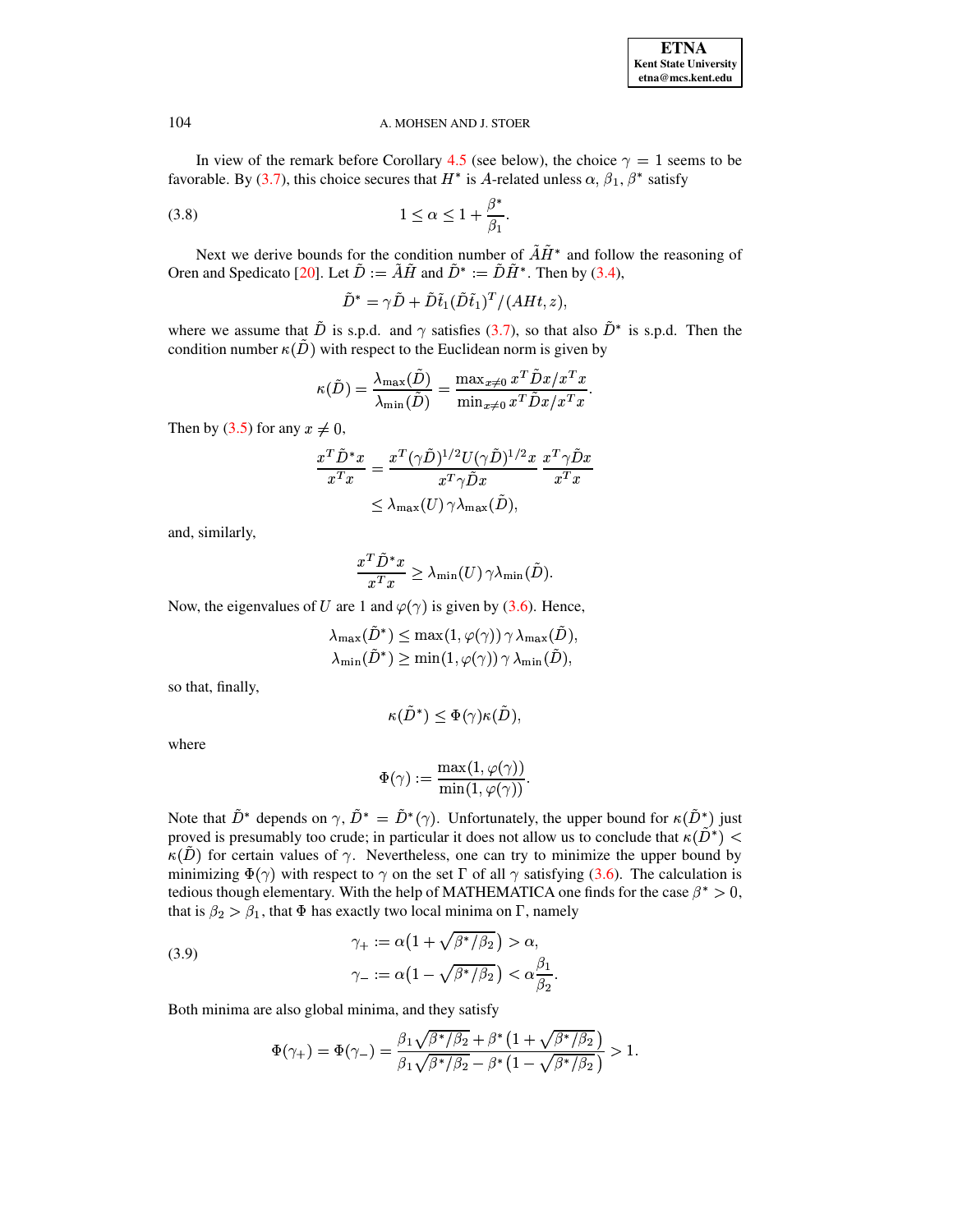In view of the remark before Corollary [4.5](#page-11-0) (see below), the choice  $\gamma = 1$  seems to be favorable. By [\(3.7\)](#page-6-0), this choice secures that  $H^*$  is A-related unless  $\alpha$ ,  $\beta_1$ ,  $\beta^*$  satisfy

$$
(3.8) \t1 \le \alpha \le 1 + \frac{\beta^*}{\beta_1}.
$$

Next we derive bounds for the condition number of  $\overrightarrow{AH}^*$  and follow the reasoning of Oren and Spedicato [\[20\]](#page-18-12). Let  $\overline{D} := \overline{A} \overline{H}$  and  $\overline{D}^* := \overline{D} \overline{H}^*$ . Then by [\(3.4\)](#page-6-1),

<span id="page-7-0"></span>
$$
\tilde{D}^* = \gamma \tilde{D} + \tilde{D} \tilde{t}_1 (\tilde{D} \tilde{t}_1)^T / (A H t, z),
$$

where we assume that  $\tilde{D}$  is s.p.d. and  $\gamma$  satisfies [\(3.7\)](#page-6-0), so that also  $\tilde{D}^*$  is s.p.d. Then the condition number  $\kappa(\tilde{D})$  with respect to the Euclidean norm is given by

$$
\kappa(\tilde{D}) = \frac{\lambda_{\max}(\tilde{D})}{\lambda_{\min}(\tilde{D})} = \frac{\max_{x \neq 0} x^T \tilde{D} x / x^T x}{\min_{x \neq 0} x^T \tilde{D} x / x^T x}.
$$

Then by [\(3.5\)](#page-6-2) for any  $x \neq 0$ ,

$$
\frac{x^T \tilde{D}^* x}{x^T x} = \frac{x^T (\gamma \tilde{D})^{1/2} U (\gamma \tilde{D})^{1/2} x}{x^T \gamma \tilde{D} x} \frac{x^T \gamma \tilde{D} x}{x^T x} \leq \lambda_{\max}(U) \gamma \lambda_{\max}(\tilde{D}),
$$

and, similarly,

$$
\frac{x^T \tilde{D}^* x}{x^T x} \geq \lambda_{\min}(U) \, \gamma \lambda_{\min}(\tilde{D}).
$$

Now, the eigenvalues of U are 1 and  $\varphi(\gamma)$  is given by [\(3.6\)](#page-6-3). Hence,<br> $\lambda_{\max}(\tilde{D}^*) \le \max(1, \varphi(\gamma)) \gamma \lambda_{\max}(\tilde{D}),$ 

$$
\lambda_{\max}(\tilde{D}^*) \le \max(1, \varphi(\gamma)) \gamma \lambda_{\max}(\tilde{D}),
$$
  

$$
\lambda_{\min}(\tilde{D}^*) > \min(1, \varphi(\gamma)) \gamma \lambda_{\min}(\tilde{D}),
$$

so that, finally,

$$
\kappa(\tilde D^*) \leq \Phi(\gamma) \kappa(\tilde D),
$$

where

$$
\Phi(\gamma):=\frac{\max(1,\varphi(\gamma))}{\min(1,\varphi(\gamma))}.
$$

Note that  $\tilde{D}^*$  depends on  $\gamma$ ,  $\tilde{D}^* = \tilde{D}^*(\gamma)$ . Unfortunately, the upper bound for  $\kappa(\tilde{D}^*)$  just proved is presumably too crude; in particular it does not allow us to conclude that  $\kappa(\bar{D}^*) <$  $\kappa(\tilde{D})$  for certain values of  $\gamma$ . Nevertheless, one can try to minimize the upper bound by minimizing  $\Phi(\gamma)$  with respect to  $\gamma$  on the set  $\Gamma$  of all  $\gamma$  satisfying [\(3.6\)](#page-6-3). The calculation is tedious though elementary. With the help of MATHEMATICA one finds for the case  $\beta^* > 0$ , that is  $\beta_2 > \beta_1$ , that  $\Phi$  has exactly two local minima on  $\Gamma$ , namely

<span id="page-7-1"></span>(3.9) 
$$
\gamma_+ := \alpha \left( 1 + \sqrt{\beta^* / \beta_2} \right) > \alpha,
$$

$$
\gamma_- := \alpha \left( 1 - \sqrt{\beta^* / \beta_2} \right) < \alpha \frac{\beta_1}{\beta_2}.
$$

Both minima are also global minima, and they satisfy

$$
\Phi(\gamma_+) = \Phi(\gamma_-) = \frac{\beta_1 \sqrt{\beta^* / \beta_2} + \beta^* (1 + \sqrt{\beta^* / \beta_2})}{\beta_1 \sqrt{\beta^* / \beta_2} - \beta^* (1 - \sqrt{\beta^* / \beta_2})} > 1.
$$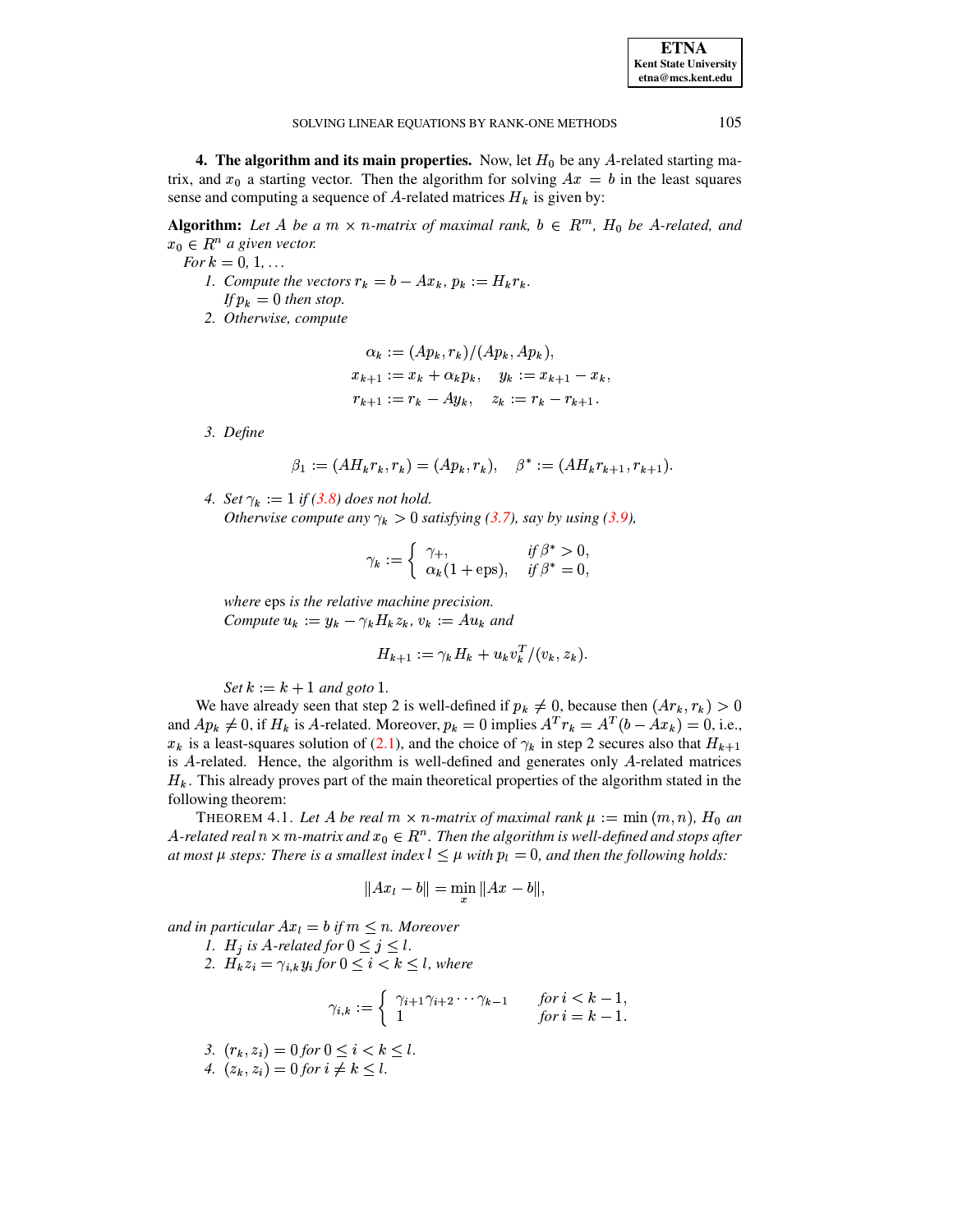**ETNA Kent State University**  $etna@mcs. kent.edu$ 

#### SOLVING LINEAR EQUATIONS BY RANK-ONE METHODS

4. The algorithm and its main properties. Now, let  $H_0$  be any A-related starting matrix, and  $x_0$  a starting vector. Then the algorithm for solving  $Ax = b$  in the least squares sense and computing a sequence of A-related matrices  $H_k$  is given by:

**Algorithm:** Let A be a  $m \times n$ -matrix of maximal rank,  $b \in R^m$ ,  $H_0$  be A-related, and  $x_0 \in R^n$  a given vector.

- For  $k = 0, 1, ...$ 1. Compute the vectors  $r_k = b - Ax_k$ ,  $p_k := H_k r_k$ . If  $p_k = 0$  then stop.
	- 2. Otherwise, compute

$$
\alpha_k := (Ap_k, r_k) / (Ap_k, Ap_k),
$$
  
\n
$$
x_{k+1} := x_k + \alpha_k p_k, \quad y_k := x_{k+1} - x_k,
$$
  
\n
$$
r_{k+1} := r_k - Ay_k, \quad z_k := r_k - r_{k+1}.
$$

3. Define

$$
\beta_1 := (AH_kr_k, r_k) = (Ap_k, r_k), \quad \beta^* := (AH_kr_{k+1}, r_{k+1}).
$$

4. Set  $\gamma_k := 1$  if (3.8) does not hold. Otherwise compute any  $\gamma_k > 0$  satisfying (3.7), say by using (3.9),

$$
\gamma_k := \begin{cases} \gamma_+ , & \text{if } \beta^* > 0, \\ \alpha_k (1 + \text{eps}), & \text{if } \beta^* = 0, \end{cases}
$$

where eps is the relative machine precision. Compute  $u_k := y_k - \gamma_k H_k z_k$ ,  $v_k := Au_k$  and

$$
H_{k+1} := \gamma_k H_k + u_k v_k^T / (v_k, z_k)
$$

Set  $k := k + 1$  and goto 1.

We have already seen that step 2 is well-defined if  $p_k \neq 0$ , because then  $(Ar_k, r_k) > 0$ and  $Ap_k \neq 0$ , if  $H_k$  is A-related. Moreover,  $p_k = 0$  implies  $A^T r_k = A^T (b - Ax_k) = 0$ , i.e.,  $x_k$  is a least-squares solution of (2.1), and the choice of  $\gamma_k$  in step 2 secures also that  $H_{k+1}$ is  $A$ -related. Hence, the algorithm is well-defined and generates only  $A$ -related matrices  $H_k$ . This already proves part of the main theoretical properties of the algorithm stated in the following theorem:

<span id="page-8-0"></span>THEOREM 4.1. Let A be real  $m \times n$ -matrix of maximal rank  $\mu := \min(m, n)$ ,  $H_0$  an A-related real  $n \times m$ -matrix and  $x_0 \in R^n$ . Then the algorithm is well-defined and stops after at most  $\mu$  steps: There is a smallest index  $l \leq \mu$  with  $p_l = 0$ , and then the following holds:

$$
||Ax_l - b|| = \min ||Ax - b||,
$$

and in particular  $Ax_l = b$  if  $m \leq n$ . Moreover

1.  $H_j$  is A-related for  $0 \le j \le l$ .<br>2.  $H_k z_i = \gamma_{i,k} y_i$  for  $0 \le i < k \le l$ , where

$$
\gamma_{i,k} := \begin{cases} \gamma_{i+1}\gamma_{i+2}\cdots\gamma_{k-1} & \text{for } i < k-1, \\ 1 & \text{for } i = k-1. \end{cases}
$$

3.  $(r_k, z_i) = 0$  for  $0 \le i \le k \le l$ .

4. 
$$
(z_k, z_i) = 0 \text{ for } i \neq k \leq l.
$$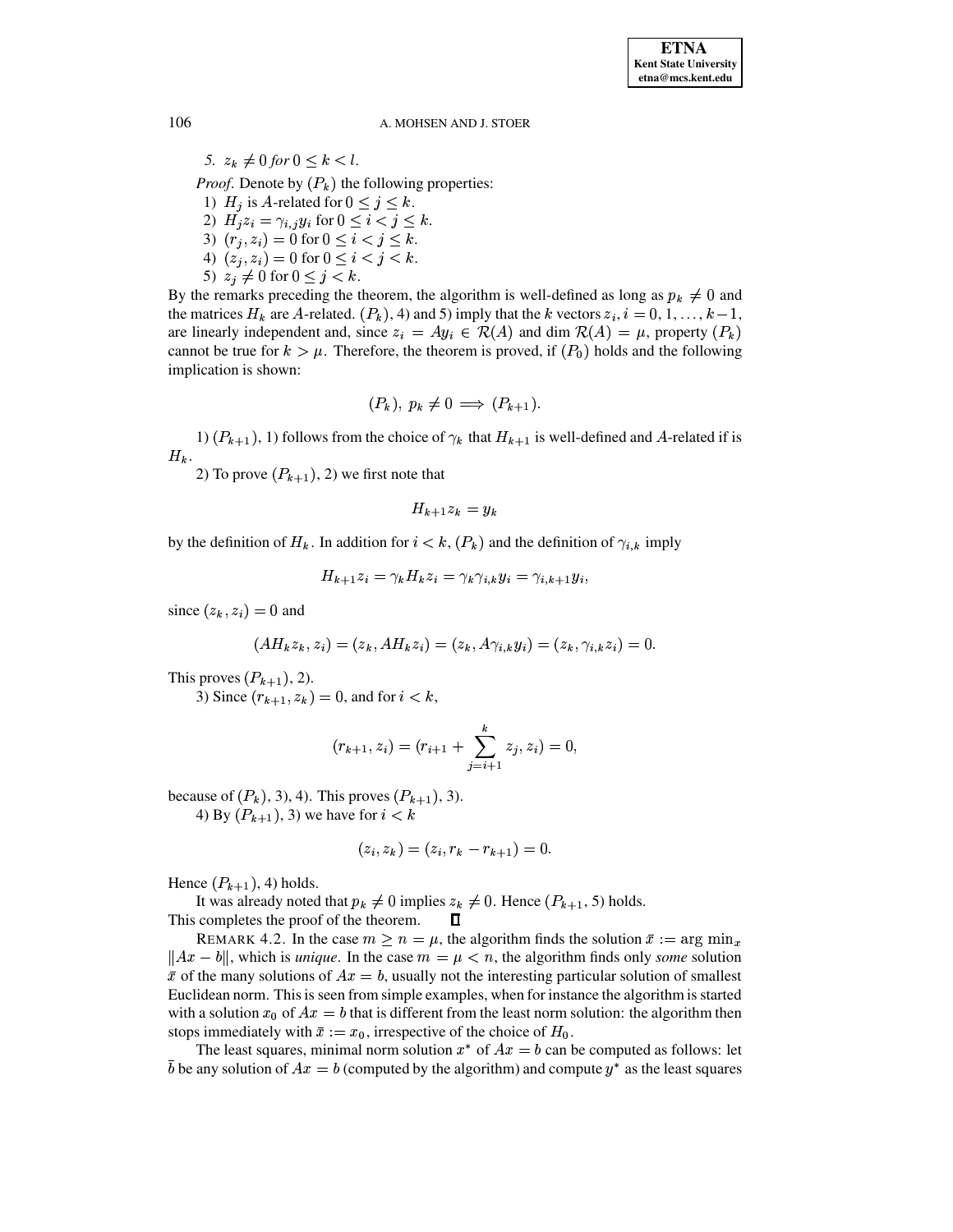5.  $z_k \neq 0$  for  $0 \leq k < l$ .

*Proof.* Denote by  $(P_k)$  the following properties:

- 1)  $H_j$  is A-related for  $0 \le j \le k$ . 2)  $H_j z_i = \gamma_{i,j} y_i$  for  $0 \le i < j \le k$ . 3)  $(r_i, z_i) = 0$  for  $0 \le i < j \le k$ . 4)  $(z_j, z_i) = 0$  for  $0 \le i < j < k$ .
- 5)  $z_j \neq 0$  for  $0 \leq j < k$ .

By the remarks preceding the theorem, the algorithm is well-defined as long as  $p_k \neq 0$  and the matrices  $H_k$  are A-related.  $(P_k)$ , 4) and 5) imply that the k vectors  $z_i$ ,  $i = 0, 1, ..., k - 1$ , are linearly independent and, since  $z_i = Ay_i \in \mathcal{R}(A)$  and dim  $\mathcal{R}(A) = \mu$ , property  $(P_k)$ cannot be true for  $k > \mu$ . Therefore, the theorem is proved, if  $(P_0)$  holds and the following implication is shown:

$$
(P_k), p_k \neq 0 \implies (P_{k+1}).
$$

1)  $(P_{k+1})$ , 1) follows from the choice of  $\gamma_k$  that  $H_{k+1}$  is well-defined and A-related if is  $H_k$ .

2) To prove  $(P_{k+1})$ , 2) we first note that

$$
H_{k+1}z_k = y_k
$$

by the definition of  $H_k$ . In addition for  $i < k$ ,  $(P_k)$  and the definition of  $\gamma_{i,k}$  imply

$$
H_{k+1}z_i = \gamma_k H_k z_i = \gamma_k \gamma_{i,k} y_i = \gamma_{i,k+1} y_i,
$$

since  $(z_k, z_i) = 0$  and

$$
(AH_kz_k,z_i)=(z_k, AH_kz_i)=(z_k,A\gamma_{i,k}y_i)=(z_k,\gamma_{i,k}z_i)=0
$$

This proves  $(P_{k+1}), 2$ ).

3) Since  $(r_{k+1}, z_k) = 0$ , and for  $i < k$ ,

$$
(r_{k+1}, z_i) = (r_{i+1} + \sum_{j=i+1}^{k} z_j, z_i) = 0
$$

because of  $(P_k)$ , 3), 4). This proves  $(P_{k+1})$ , 3).

4) By  $(P_{k+1})$ , 3) we have for  $i < k$ 

$$
(z_i, z_k) = (z_i, r_k - r_{k+1}) = 0.
$$

Hence  $(P_{k+1}), 4$  holds.

It was already noted that  $p_k \neq 0$  implies  $z_k \neq 0$ . Hence  $(P_{k+1}, 5)$  holds.

This completes the proof of the theorem.  $\Box$ 

REMARK 4.2. In the case  $m \ge n = \mu$ , the algorithm finds the solution  $\bar{x} := \arg \min_x$  $||Ax - b||$ , which is *unique*. In the case  $m = \mu < n$ , the algorithm finds only *some* solution  $\bar{x}$  of the many solutions of  $Ax = b$ , usually not the interesting particular solution of smallest Euclidean norm. This is seen from simple examples, when for instance the algorithm is started with a solution  $x_0$  of  $Ax = b$  that is different from the least norm solution: the algorithm then stops immediately with  $\bar{x} := x_0$ , irrespective of the choice of  $H_0$ .

The least squares, minimal norm solution  $x^*$  of  $Ax = b$  can be computed as follows: let  $\overline{b}$  be any solution of  $Ax = b$  (computed by the algorithm) and compute  $y^*$  as the least squares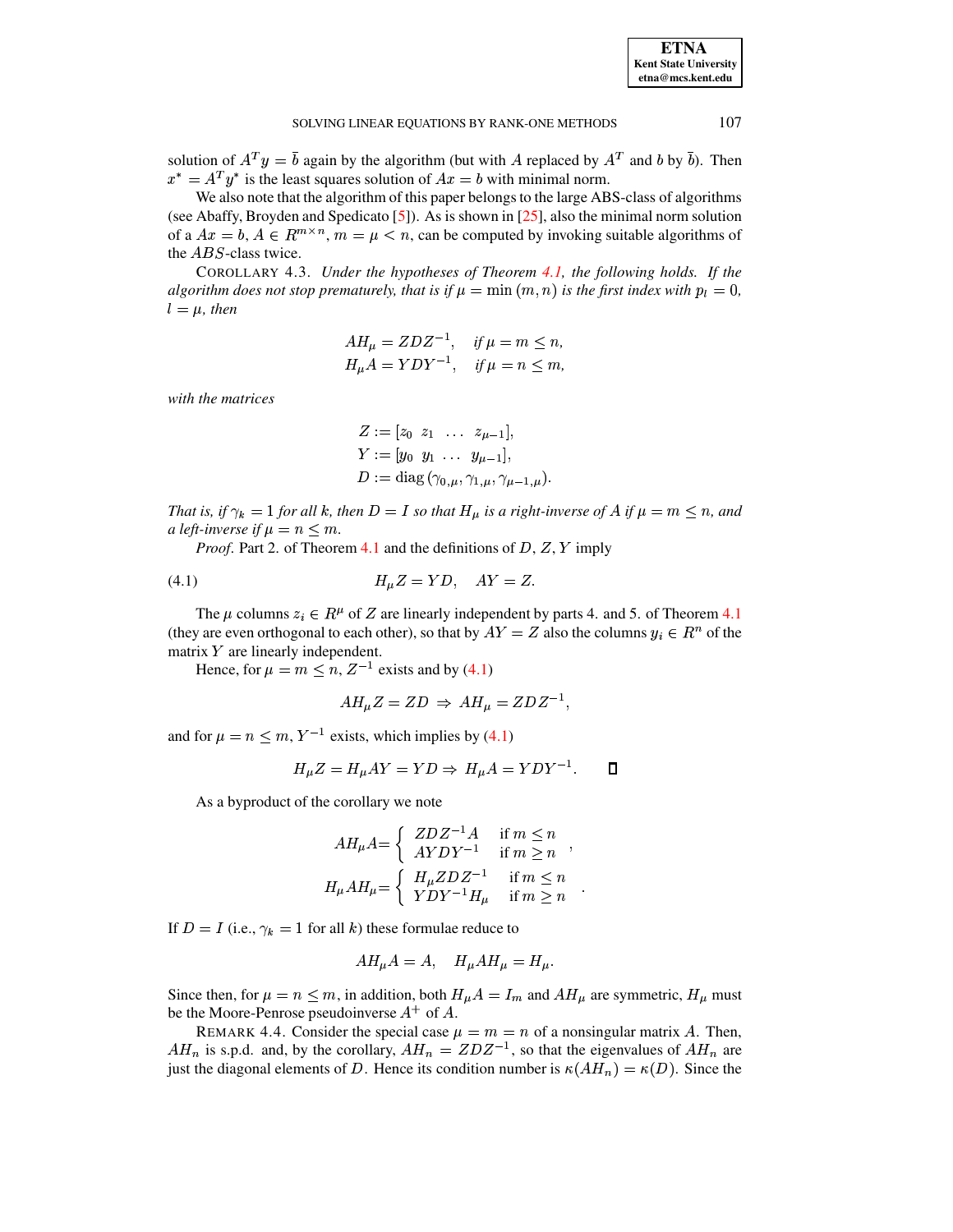solution of  $A^T y = \overline{b}$  again by the algorithm (but with A replaced by  $A^T$  and b by  $\overline{b}$ ). Then  $x^* = A^T y^*$  is the least squares solution of  $Ax = b$  with minimal norm.

We also note that the algorithm of this paper belongs to the large ABS-class of algorithms (see Abaffy, Broyden and Spedicato [5]). As is shown in [25], also the minimal norm solution of a  $Ax = b$ ,  $A \in R^{m \times n}$ ,  $m = \mu < n$ , can be computed by invoking suitable algorithms of the ABS-class twice.

COROLLARY 4.3. Under the hypotheses of Theorem 4.1, the following holds. If the algorithm does not stop prematurely, that is if  $\mu = \min(m, n)$  is the first index with  $p_l = 0$ ,  $l = \mu$ , then

$$
AH_{\mu} = ZDZ^{-1}, \quad \text{if } \mu = m \le n,
$$
  

$$
H_{\mu}A = YDY^{-1}, \quad \text{if } \mu = n \le m,
$$

with the matrices

$$
Z := [z_0 \ z_1 \ \dots \ z_{\mu-1}],
$$
  
\n
$$
Y := [y_0 \ y_1 \ \dots \ y_{\mu-1}],
$$
  
\n
$$
D := \text{diag}(\gamma_{0,\mu}, \gamma_{1,\mu}, \gamma_{\mu-1,\mu}).
$$

That is, if  $\gamma_k = 1$  for all k, then  $D = I$  so that  $H_\mu$  is a right-inverse of A if  $\mu = m \le n$ , and a left-inverse if  $\mu = n \leq m$ .

<span id="page-10-0"></span>*Proof.* Part 2. of Theorem 4.1 and the definitions of  $D$ ,  $Z$ ,  $Y$  imply

$$
(4.1) \t\t\t HuZ = YD, \quad AY = Z.
$$

The  $\mu$  columns  $z_i \in R^{\mu}$  of Z are linearly independent by parts 4. and 5. of Theorem 4.1 (they are even orthogonal to each other), so that by  $AY = Z$  also the columns  $y_i \in R^n$  of the matrix  $Y$  are linearly independent.

Hence, for  $\mu = m \le n$ ,  $Z^{-1}$  exists and by (4.1)

$$
AH_{\mu}Z = ZD \Rightarrow AH_{\mu} = ZDZ^{-1},
$$

and for  $\mu = n \le m$ ,  $Y^{-1}$  exists, which implies by (4.1)

$$
H_{\mu}Z = H_{\mu}AY = YD \Rightarrow H_{\mu}A = YDY^{-1}.
$$

As a byproduct of the corollary we note

$$
AH_{\mu}A = \begin{cases} ZDZ^{-1}A & \text{if } m \le n \\ AYDY^{-1} & \text{if } m \ge n \end{cases},
$$
  

$$
H_{\mu}AH_{\mu} = \begin{cases} H_{\mu}ZDZ^{-1} & \text{if } m \le n \\ YDY^{-1}H_{\mu} & \text{if } m \ge n \end{cases}
$$

If  $D = I$  (i.e.,  $\gamma_k = 1$  for all k) these formulae reduce to

$$
AH_{\mu}A=A, \quad H_{\mu}AH_{\mu}=H_{\mu}.
$$

Since then, for  $\mu = n \le m$ , in addition, both  $H_{\mu}A = I_m$  and  $AH_{\mu}$  are symmetric,  $H_{\mu}$  must be the Moore-Penrose pseudoinverse  $A^+$  of A.

REMARK 4.4. Consider the special case  $\mu = m = n$  of a nonsingular matrix A. Then,  $AH_n$  is s.p.d. and, by the corollary,  $AH_n = ZDZ^{-1}$ , so that the eigenvalues of  $AH_n$  are just the diagonal elements of D. Hence its condition number is  $\kappa(AH_n) = \kappa(D)$ . Since the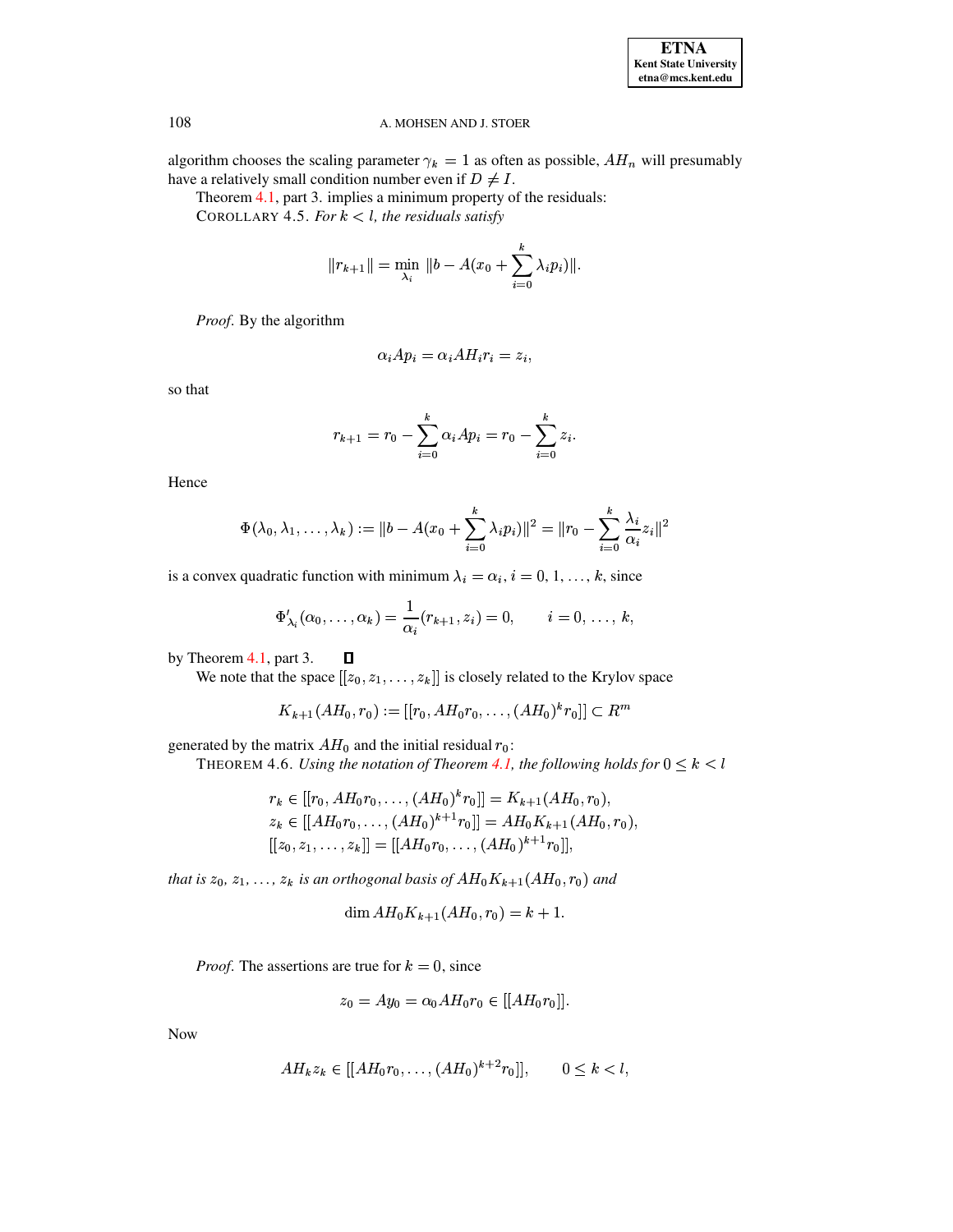| <b>ETNA</b>                  |
|------------------------------|
| <b>Kent State University</b> |
| etna@mcs.kent.edu            |

<span id="page-11-0"></span>algorithm chooses the scaling parameter  $\gamma_k = 1$  as often as possible,  $AH_n$  will presumably have a relatively small condition number even if  $D \neq I$ .

Theorem 4.1, part 3. implies a minimum property of the residuals:

COROLLARY 4.5. For  $k < l$ , the residuals satisfy

$$
||r_{k+1}|| = \min_{\lambda_i} ||b - A(x_0 + \sum_{i=0}^k \lambda_i p_i)||
$$

Proof. By the algorithm

$$
\alpha_i Ap_i = \alpha_i AH_i r_i = z_i,
$$

so that

$$
r_{k+1} = r_0 - \sum_{i=0}^{k} \alpha_i Ap_i = r_0 - \sum_{i=0}^{k} z_i.
$$

Hence

$$
\Phi(\lambda_0, \lambda_1, \dots, \lambda_k) := \|b - A(x_0 + \sum_{i=0}^k \lambda_i p_i)\|^2 = \|r_0 - \sum_{i=0}^k \frac{\lambda_i}{\alpha_i} z_i\|^2
$$

is a convex quadratic function with minimum  $\lambda_i = \alpha_i$ ,  $i = 0, 1, ..., k$ , since

$$
\Phi'_{\lambda_i}(\alpha_0,\ldots,\alpha_k)=\frac{1}{\alpha_i}(r_{k+1},z_i)=0, \qquad i=0,\ldots,k,
$$

by Theorem 4.1, part 3.  $\Box$ 

We note that the space  $[[z_0, z_1, \ldots, z_k]]$  is closely related to the Krylov space

$$
K_{k+1}(AH_0,r_0):=[[r_0,AH_0r_0,\ldots,(AH_0)^kr_0]]\subset R^m
$$

generated by the matrix  $AH_0$  and the initial residual  $r_0$ :

THEOREM 4.6. Using the notation of Theorem 4.1, the following holds for  $0 \leq k < l$ 

$$
r_k \in [[r_0, AH_0r_0, \dots, (AH_0)^k r_0]] = K_{k+1}(AH_0, r_0),
$$
  
\n
$$
z_k \in [[AH_0r_0, \dots, (AH_0)^{k+1}r_0]] = AH_0K_{k+1}(AH_0, r_0),
$$
  
\n
$$
[[z_0, z_1, \dots, z_k]] = [[AH_0r_0, \dots, (AH_0)^{k+1}r_0]],
$$

that is  $z_0, z_1, \ldots, z_k$  is an orthogonal basis of  $AH_0K_{k+1}(AH_0, r_0)$  and

$$
\dim AH_0 K_{k+1}(AH_0, r_0) = k+1
$$

*Proof.* The assertions are true for  $k = 0$ , since

$$
z_0 = Ay_0 = \alpha_0 AH_0 r_0 \in [[AH_0r_0]].
$$

**Now** 

$$
AH_kz_k \in [[AH_0r_0,\ldots,(AH_0)^{k+2}r_0]], \qquad 0 \le k < l,
$$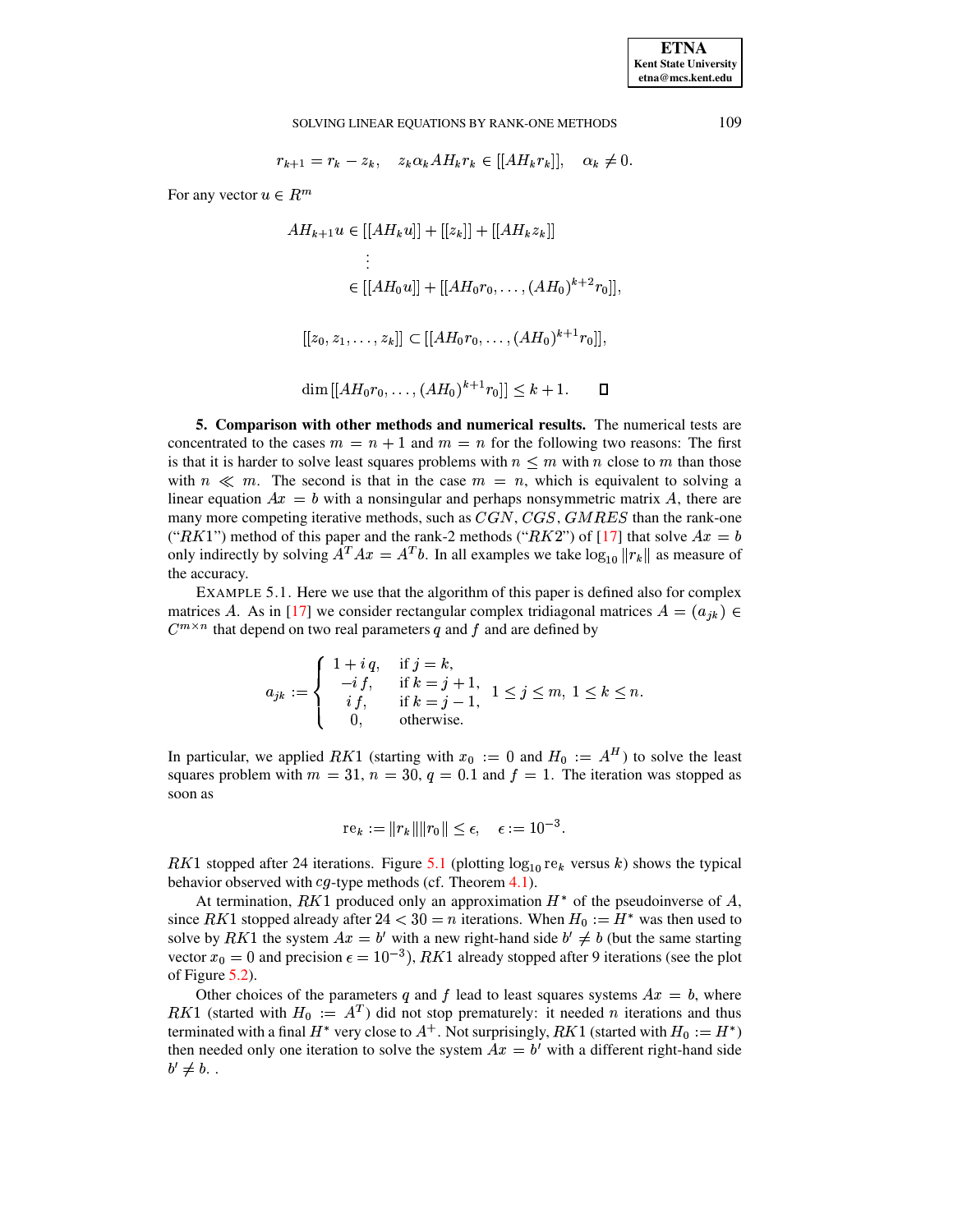## SOLVING LINEAR EQUATIONS BY RANK-ONE METHODS

$$
r_{k+1} = r_k - z_k, \quad z_k \alpha_k A H_k r_k \in [[AH_k r_k]], \quad \alpha_k \neq 0.
$$

For any vector  $u \in R^m$ 

$$
AH_{k+1}u \in [[AH_ku]] + [[z_k]] + [[AH_kz_k]]
$$
  
\n
$$
\vdots
$$
  
\n
$$
\in [[AH_0u]] + [[AH_0r_0, \dots, (AH_0)^{k+2}r_0]],
$$
  
\n
$$
[[z_0, z_1, \dots, z_k]] \subset [[AH_0r_0, \dots, (AH_0)^{k+1}r_0]],
$$
  
\n
$$
\dim [[AH_0r_0, \dots, (AH_0)^{k+1}r_0]] < k+1.
$$

5. Comparison with other methods and numerical results. The numerical tests are concentrated to the cases  $m = n + 1$  and  $m = n$  for the following two reasons: The first is that it is harder to solve least squares problems with  $n \leq m$  with n close to m than those with  $n \ll m$ . The second is that in the case  $m = n$ , which is equivalent to solving a linear equation  $Ax = b$  with a nonsingular and perhaps nonsymmetric matrix A, there are many more competing iterative methods, such as  $CGN$ ,  $CGS$ ,  $GMRES$  than the rank-one ("RK1") method of this paper and the rank-2 methods ("RK2") of [17] that solve  $Ax = b$ only indirectly by solving  $A^T A x = A^T b$ . In all examples we take  $\log_{10} ||r_k||$  as measure of the accuracy.

<span id="page-12-0"></span>EXAMPLE 5.1. Here we use that the algorithm of this paper is defined also for complex matrices A. As in [17] we consider rectangular complex tridiagonal matrices  $A = (a_{ik}) \in$  $C^{m \times n}$  that depend on two real parameters q and f and are defined by

$$
a_{jk} := \begin{cases} 1 + i q, & \text{if } j = k, \\ -i f, & \text{if } k = j + 1, \\ i f, & \text{if } k = j - 1, \\ 0, & \text{otherwise.} \end{cases} 1 \leq j \leq m, 1 \leq k \leq n.
$$

In particular, we applied RK1 (starting with  $x_0 := 0$  and  $H_0 := A^H$ ) to solve the least squares problem with  $m = 31$ ,  $n = 30$ ,  $q = 0.1$  and  $f = 1$ . The iteration was stopped as soon as

$$
rek := ||rk|| ||r0|| ≤ ε, ε := 10-3
$$

RK1 stopped after 24 iterations. Figure 5.1 (plotting  $log_{10}$  re<sub>k</sub> versus k) shows the typical behavior observed with  $cg$ -type methods (cf. Theorem 4.1).

At termination, RK1 produced only an approximation  $H^*$  of the pseudoinverse of A, since RK1 stopped already after  $24 < 30 = n$  iterations. When  $H_0 := H^*$  was then used to solve by RK1 the system  $Ax = b'$  with a new right-hand side  $b' \neq b$  (but the same starting vector  $x_0 = 0$  and precision  $\epsilon = 10^{-3}$ ), RK1 already stopped after 9 iterations (see the plot of Figure  $5.2$ ).

Other choices of the parameters q and f lead to least squares systems  $Ax = b$ , where RK1 (started with  $H_0 := A^T$ ) did not stop prematurely: it needed *n* iterations and thus terminated with a final  $H^*$  very close to  $A^+$ . Not surprisingly, RK1 (started with  $H_0 := H^*$ ) then needed only one iteration to solve the system  $Ax = b'$  with a different right-hand side  $b' \neq b$ .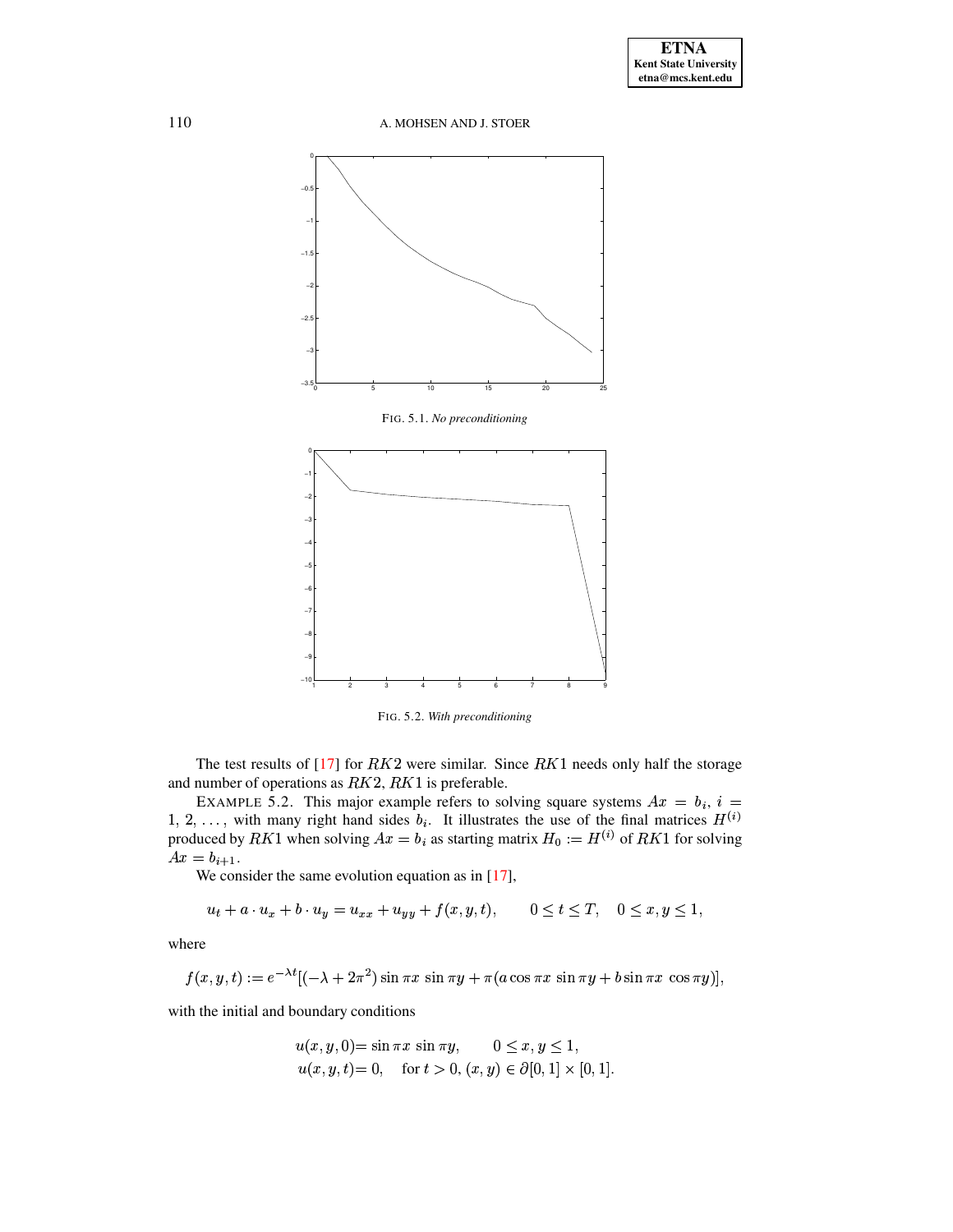A. MOHSEN AND J. STOER



<span id="page-13-0"></span>

<span id="page-13-1"></span>FIG. 5.2. With preconditioning

The test results of [17] for  $RK2$  were similar. Since  $RK1$  needs only half the storage and number of operations as  $RK2, RK1$  is preferable.

<span id="page-13-2"></span>EXAMPLE 5.2. This major example refers to solving square systems  $Ax = b_i$ ,  $i =$ 1, 2, ..., with many right hand sides  $b_i$ . It illustrates the use of the final matrices  $H^{(i)}$  produced by  $RK1$  when solving  $Ax = b_i$  as starting matrix  $H_0 := H^{(i)}$  of  $RK1$  for solving  $Ax = b_{i+1}.$ 

We consider the same evolution equation as in  $[17]$ ,

$$
u_t + a \cdot u_x + b \cdot u_y = u_{xx} + u_{yy} + f(x, y, t), \qquad 0 \le t \le T, \quad 0 \le x, y \le 1,
$$

where

$$
f(x, y, t) := e^{-\lambda t} [(-\lambda + 2\pi^2) \sin \pi x \, \sin \pi y + \pi (a \cos \pi x \, \sin \pi y + b \sin \pi x \, \cos \pi y)],
$$

with the initial and boundary conditions

$$
u(x, y, 0) = \sin \pi x \sin \pi y, \qquad 0 \le x, y \le 1,
$$
  

$$
u(x, y, t) = 0, \quad \text{for } t > 0, (x, y) \in \partial [0, 1] \times [0, 1].
$$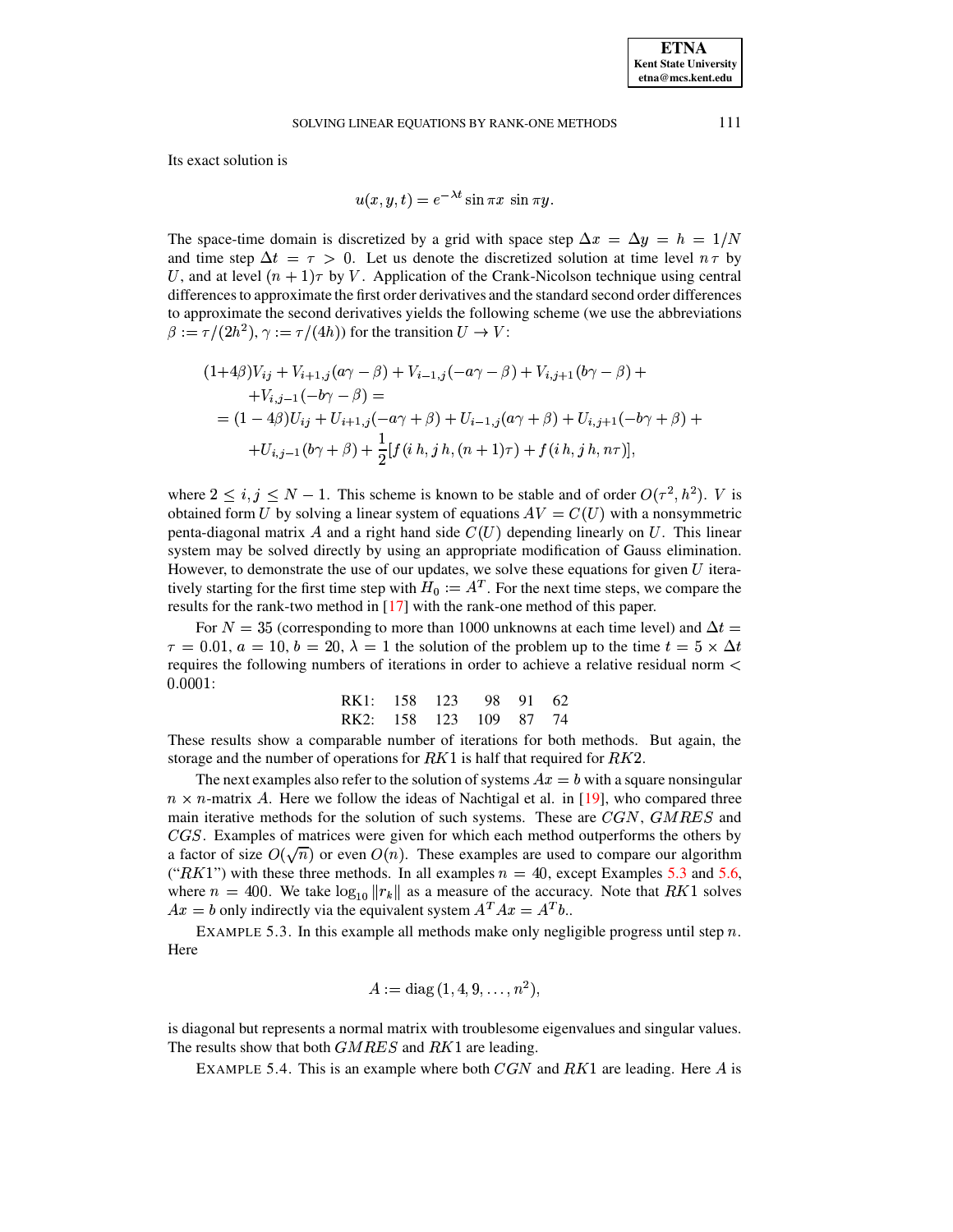### SOLVING LINEAR EQUATIONS BY RANK-ONE METHODS

Its exact solution is

$$
u(x, y, t) = e^{-\lambda t} \sin \pi x \sin \pi y.
$$

The space-time domain is discretized by a grid with space step  $\Delta x = \Delta y = h = 1/N$ and time step  $\Delta t = \tau > 0$ . Let us denote the discretized solution at time level  $n \tau$  by U, and at level  $(n + 1)\tau$  by V. Application of the Crank-Nicolson technique using central differences to approximate the first order derivatives and the standard second order differences to approximate the second derivatives yields the following scheme (we use the abbreviations  $\beta := \tau/(2h^2)$ ,  $\gamma := \tau/(4h)$  for the transition  $U \to V$ :

$$
(1+4\beta)V_{ij} + V_{i+1,j}(a\gamma - \beta) + V_{i-1,j}(-a\gamma - \beta) + V_{i,j+1}(b\gamma - \beta) +
$$
  
+ 
$$
V_{i,j-1}(-b\gamma - \beta) =
$$
  
= 
$$
(1-4\beta)U_{ij} + U_{i+1,j}(-a\gamma + \beta) + U_{i-1,j}(a\gamma + \beta) + U_{i,j+1}(-b\gamma + \beta) +
$$
  
+ 
$$
U_{i,j-1}(b\gamma + \beta) + \frac{1}{2}[f(i\ h,j\ h,(n+1)\tau) + f(i\ h,j\ h,n\tau)],
$$

where  $2 \le i, j \le N - 1$ . This scheme is known to be stable and of order  $O(\tau^2, h^2)$ . V is obtained form U by solving a linear system of equations  $AV = C(U)$  with a nonsymmetric penta-diagonal matrix  $A$  and a right hand side  $C(U)$  depending linearly on  $U$ . This linear system may be solved directly by using an appropriate modification of Gauss elimination. However, to demonstrate the use of our updates, we solve these equations for given  $U$  iteratively starting for the first time step with  $H_0 := A^T$ . For the next time steps, we compare the results for the rank-two method in  $[17]$  with the rank-one method of this paper.

For  $N = 35$  (corresponding to more than 1000 unknowns at each time level) and  $\Delta t =$  $\tau = 0.01$ ,  $a = 10$ ,  $b = 20$ ,  $\lambda = 1$  the solution of the problem up to the time  $t = 5 \times \Delta t$ requires the following numbers of iterations in order to achieve a relative residual norm <  $0.0001:$ 

| RK1: 158 123 98 91 62  |  |  |
|------------------------|--|--|
| RK2: 158 123 109 87 74 |  |  |

These results show a comparable number of iterations for both methods. But again, the storage and the number of operations for  $RK1$  is half that required for  $RK2$ .

The next examples also refer to the solution of systems  $Ax = b$  with a square nonsingular  $n \times n$ -matrix A. Here we follow the ideas of Nachtigal et al. in [19], who compared three main iterative methods for the solution of such systems. These are  $CGN$ ,  $GMRES$  and CGS. Examples of matrices were given for which each method outperforms the others by a factor of size  $O(\sqrt{n})$  or even  $O(n)$ . These examples are used to compare our algorithm ("RK1") with these three methods. In all examples  $n = 40$ , except Examples 5.3 and 5.6, where  $n = 400$ . We take  $\log_{10} ||r_k||$  as a measure of the accuracy. Note that RK1 solves  $Ax = b$  only indirectly via the equivalent system  $A^T A x = A^T b$ .

<span id="page-14-0"></span>EXAMPLE 5.3. In this example all methods make only negligible progress until step  $n$ . Here

$$
A := diag(1, 4, 9, \ldots, n^2),
$$

<span id="page-14-1"></span>is diagonal but represents a normal matrix with troublesome eigenvalues and singular values. The results show that both  $GMRES$  and  $RK1$  are leading.

EXAMPLE 5.4. This is an example where both  $CGN$  and  $RK1$  are leading. Here A is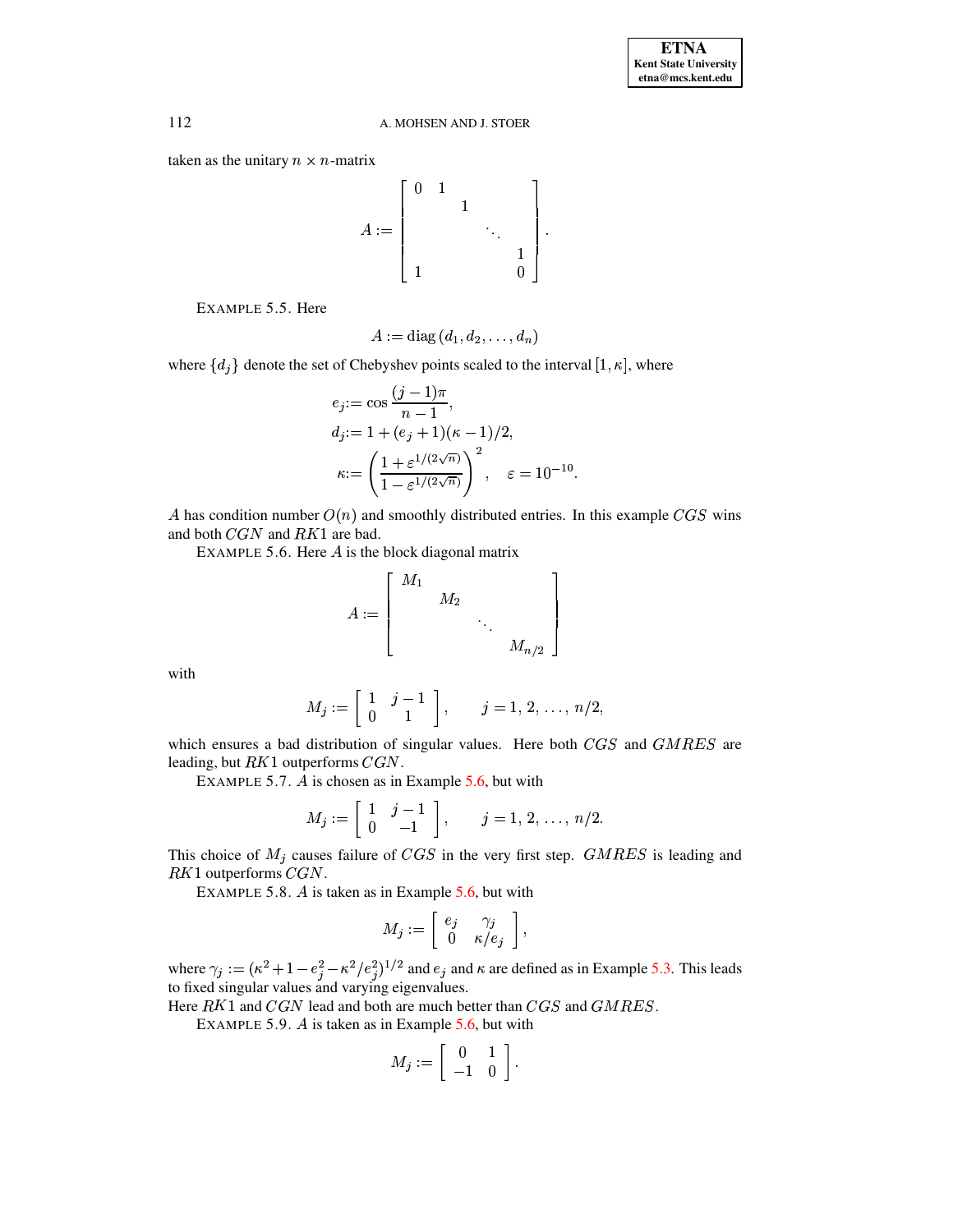taken as the unitary  $n \times n$ -matrix



EXAMPLE 5.5. Here

$$
A:=\text{diag}\left(d_1,d_2,\ldots,d_n\right)
$$

<span id="page-15-2"></span>where  $\{d_i\}$  denote the set of Chebyshev points scaled to the interval  $[1, \kappa]$ , where

$$
e_j := \cos \frac{(j-1)\pi}{n-1},
$$
  
\n
$$
d_j := 1 + (e_j + 1)(\kappa - 1)/2,
$$
  
\n
$$
\kappa := \left(\frac{1 + \varepsilon^{1/(2\sqrt{n})}}{1 - \varepsilon^{1/(2\sqrt{n})}}\right)^2, \quad \varepsilon = 10^{-10}
$$

<span id="page-15-0"></span>A has condition number  $O(n)$  and smoothly distributed entries. In this example CGS wins and both  $CGN$  and  $RK1$  are bad.

EXAMPLE 5.6. Here  $A$  is the block diagonal matrix

$$
A := \left[ \begin{array}{cccc} M_1 & & & \\ & M_2 & & \\ & & \ddots & \\ & & & M_{n/2} \end{array} \right]
$$

with

$$
M_j:=\left[\begin{array}{cc} 1 & j-1 \\ 0 & 1 \end{array}\right], \qquad j=1,\,2,\,\ldots,\,n/2,
$$

<span id="page-15-1"></span>which ensures a bad distribution of singular values. Here both CGS and GMRES are leading, but  $RK1$  outperforms  $CGN$ .

EXAMPLE 5.7.  $\vec{A}$  is chosen as in Example 5.6, but with

$$
M_j := \left[ \begin{array}{cc} 1 & j-1 \\ 0 & -1 \end{array} \right], \qquad j = 1, 2, \ldots, n/2.
$$

This choice of  $M_j$  causes failure of CGS in the very first step. GMRES is leading and  $RK1$  outperforms  $CGN$ .

EXAMPLE 5.8.  $\vec{A}$  is taken as in Example 5.6, but with

$$
M_j := \left[ \begin{array}{cc} e_j & \gamma_j \\ 0 & \kappa/e_j \end{array} \right],
$$

where  $\gamma_j := (\kappa^2 + 1 - e_j^2 - \kappa^2/e_j^2)^{1/2}$  and  $e_j$  and  $\kappa$  are defined as in Example 5.3. This leads to fixed singular values and varying eigenvalues.

Here  $RK1$  and  $CGN$  lead and both are much better than  $CGS$  and  $GMRES$ .

EXAMPLE 5.9.  $\hat{A}$  is taken as in Example 5.6, but with

$$
M_j := \left[ \begin{array}{cc} 0 & 1 \\ -1 & 0 \end{array} \right].
$$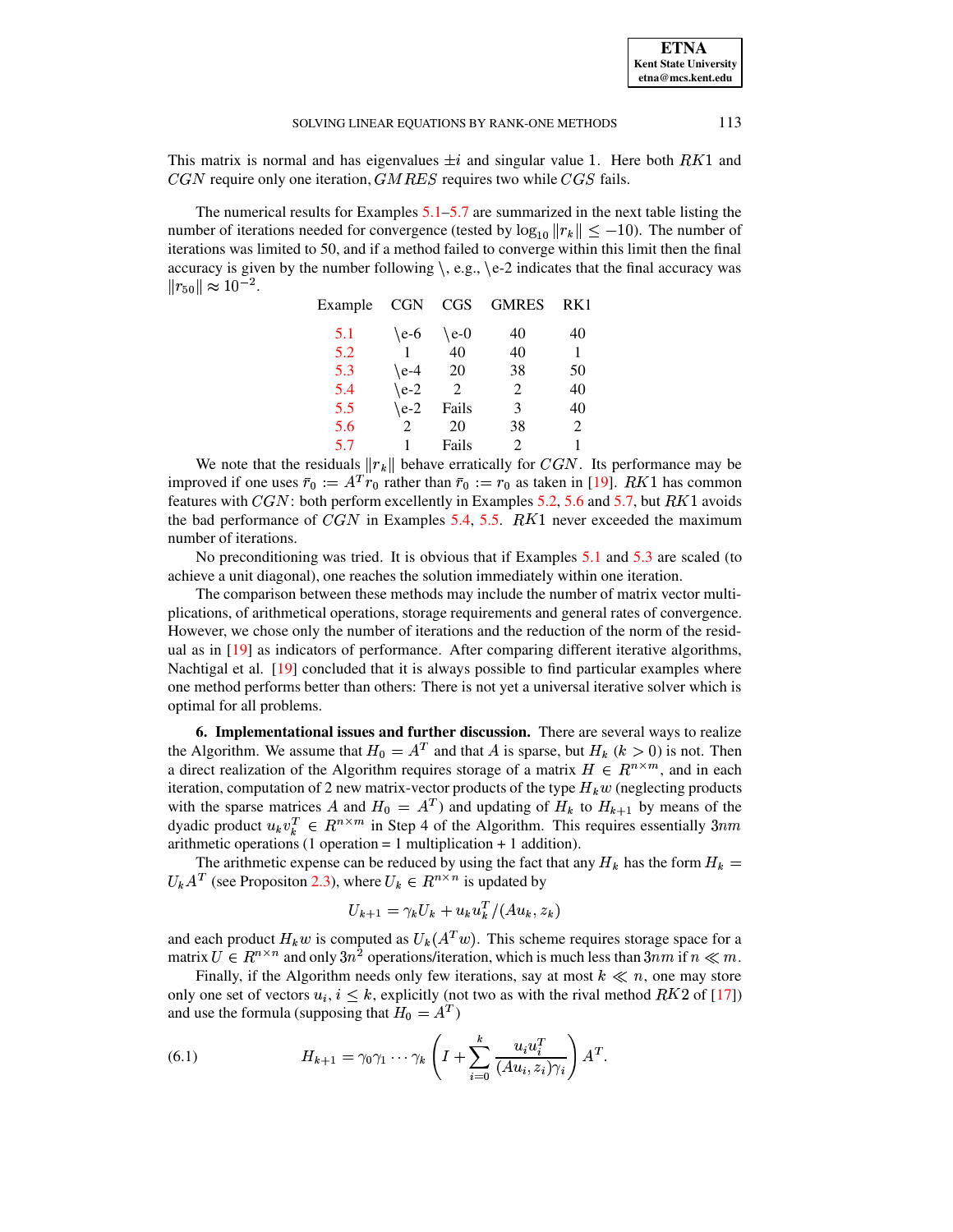This matrix is normal and has eigenvalues  $\pm i$  and singular value 1. Here both  $RK1$  and  $CGN$  require only one iteration,  $GMRES$  requires two while  $CGS$  fails.

The numerical results for Examples  $5.1-5.7$  $5.1-5.7$  are summarized in the next table listing the number of iterations needed for convergence (tested by  $\log_{10} ||r_k|| \le -10$ ). The number of iterations was limited to 50, and if a method failed to converge within this limit then the final accuracy is given by the number following  $\backslash$ , e.g.,  $\backslash$  e-2 indicates that the final accuracy was  $||r_{50}|| \approx 10^{-2}$ .

| Example | <b>CGN</b> | <b>CGS</b>                  | <b>GMRES</b>                | RK1 |
|---------|------------|-----------------------------|-----------------------------|-----|
| 5.1     | $\e-6$     | $\e$ -0                     | 40                          | 40  |
| 5.2     |            | 40                          | 40                          | 1   |
| 5.3     | $\e-4$     | 20                          | 38                          | 50  |
| 5.4     | $\e-2$     | $\mathcal{D}_{\mathcal{L}}$ | 2                           | 40  |
| 5.5     | $\e-2$     | Fails                       | 3                           | 40  |
| 5.6     | 2          | 20                          | 38                          | 2   |
| 5.7     |            | Fails                       | $\mathcal{D}_{\mathcal{L}}$ | 1   |

We note that the residuals  $||r_k||$  behave erratically for  $CGN$ . Its performance may be improved if one uses  $\bar{r}_0 := A^T r_0$  rather than  $\bar{r}_0 := r_0$  as taken in [\[19\]](#page-18-14). RK1 has common features with  $CGN$ : both perform excellently in Examples [5.2,](#page-13-2) [5.6](#page-15-0) and [5.7,](#page-15-1) but  $RK1$  avoids the bad performance of  $CGN$  in Examples [5.4,](#page-14-1) [5.5.](#page-15-2)  $RK1$  never exceeded the maximum number of iterations.

No preconditioning was tried. It is obvious that if Examples [5.1](#page-12-0) and [5.3](#page-14-0) are scaled (to achieve a unit diagonal), one reaches the solution immediately within one iteration.

The comparison between these methods may include the number of matrix vector multiplications, of arithmetical operations, storage requirements and general rates of convergence. However, we chose only the number of iterations and the reduction of the norm of the residual as in [\[19\]](#page-18-14) as indicators of performance. After comparing different iterative algorithms, Nachtigal et al. [\[19\]](#page-18-14) concluded that it is always possible to find particular examples where one method performs better than others: There is not yet a universal iterative solver which is optimal for all problems.

**6. Implementational issues and further discussion.** There are several ways to realize the Algorithm. We assume that  $H_0 = A^T$  and that A is sparse, but  $H_k$  ( $k > 0$ ) is not. Then a direct realization of the Algorithm requires storage of a matrix  $H \in R^{n \times m}$ , and in each iteration, computation of 2 new matrix-vector products of the type  $H_k w$  (neglecting products with the sparse matrices A and  $H_0 = A^T$ ) and updating of  $H_k$  to  $H_{k+1}$  by means of the dyadic product  $u_k v_k^T \in R^{n \times m}$  in Step 4 of the Algorithm. This requires essentially  $3nm$ arithmetic operations (1 operation  $= 1$  multiplication  $+ 1$  addition).

The arithmetic expense can be reduced by using the fact that any  $H_k$  has the form  $H_k$  =  $U_kA^T$  (see Propositon [2.3\)](#page-3-0), where  $U_k \in R^{n \times n}$  is updated by

$$
U_{k+1} = \gamma_k U_k + u_k u_k^T / (Au_k, z_k)
$$

and each product  $H_k w$  is computed as  $U_k(A^T w)$ . This scheme requires storage space for a matrix  $U \in R^{n \times n}$  and only  $3n^2$  operations/iteration, which is much less than  $3nm$  if  $n \ll m$ .

Finally, if the Algorithm needs only few iterations, say at most  $k \ll n$ , one may store only one set of vectors  $u_i, i \leq k$ , explicitly (not two as with the rival method RK2 of [\[17\]](#page-18-3)) and use the formula (supposing that  $H_0 = A^T$ )

<span id="page-16-0"></span>(6.1) 
$$
H_{k+1} = \gamma_0 \gamma_1 \cdots \gamma_k \left( I + \sum_{i=0}^k \frac{u_i u_i^T}{(Au_i, z_i) \gamma_i} \right) A^T.
$$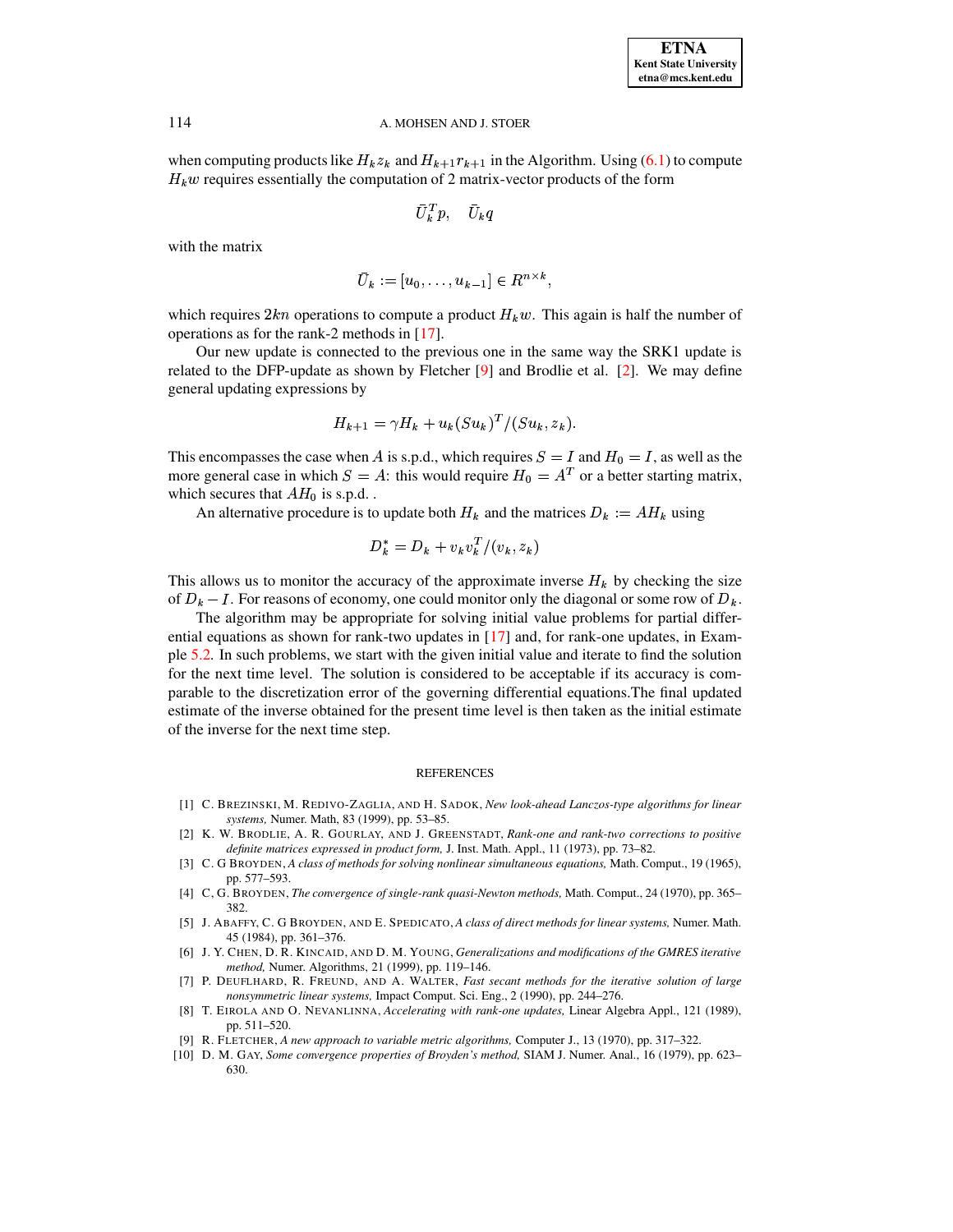when computing products like  $H_k z_k$  and  $H_{k+1} r_{k+1}$  in the Algorithm. Using (6.1) to compute  $H_k w$  requires essentially the computation of 2 matrix-vector products of the form

$$
\bar{U}^T_{\bm{k}} p, \quad \bar{U}_{\bm{k}} q
$$

with the matrix

$$
\overline{U}_k := [u_0, \ldots, u_{k-1}] \in R^{n \times k},
$$

which requires  $2kn$  operations to compute a product  $H_k w$ . This again is half the number of operations as for the rank-2 methods in  $[17]$ .

Our new update is connected to the previous one in the same way the SRK1 update is related to the DFP-update as shown by Fletcher [9] and Brodlie et al. [2]. We may define general updating expressions by

$$
H_{k+1} = \gamma H_k + u_k(Su_k)^T / (Su_k, z_k).
$$

This encompasses the case when A is s.p.d., which requires  $S = I$  and  $H_0 = I$ , as well as the more general case in which  $S = A$ : this would require  $H_0 = A^T$  or a better starting matrix, which secures that  $AH_0$  is s.p.d..

An alternative procedure is to update both  $H_k$  and the matrices  $D_k := AH_k$  using

$$
D_k^* = D_k + v_k v_k^T/(v_k, z_k)
$$

This allows us to monitor the accuracy of the approximate inverse  $H_k$  by checking the size of  $D_k - I$ . For reasons of economy, one could monitor only the diagonal or some row of  $D_k$ .

The algorithm may be appropriate for solving initial value problems for partial differential equations as shown for rank-two updates in  $[17]$  and, for rank-one updates, in Example 5.2. In such problems, we start with the given initial value and iterate to find the solution for the next time level. The solution is considered to be acceptable if its accuracy is comparable to the discretization error of the governing differential equations. The final updated estimate of the inverse obtained for the present time level is then taken as the initial estimate of the inverse for the next time step.

### **REFERENCES**

- [1] C. BREZINSKI, M. REDIVO-ZAGLIA, AND H. SADOK, New look-ahead Lanczos-type algorithms for linear systems, Numer. Math, 83 (1999), pp. 53-85.
- <span id="page-17-7"></span>[2] K. W. BRODLIE, A. R. GOURLAY, AND J. GREENSTADT, Rank-one and rank-two corrections to positive definite matrices expressed in product form, J. Inst. Math. Appl., 11 (1973), pp. 73-82.
- <span id="page-17-3"></span><span id="page-17-1"></span>[3] C. G BROYDEN, A class of methods for solving nonlinear simultaneous equations, Math. Comput., 19 (1965), pp. 577-593.
- [4] C, G. BROYDEN, The convergence of single-rank quasi-Newton methods, Math. Comput., 24 (1970), pp. 365-382.
- <span id="page-17-5"></span>[5] J. ABAFFY, C. G BROYDEN, AND E. SPEDICATO, A class of direct methods for linear systems, Numer. Math. 45 (1984), pp. 361-376.
- [6] J. Y. CHEN, D. R. KINCAID, AND D. M. YOUNG, Generalizations and modifications of the GMRES iterative method, Numer. Algorithms, 21 (1999), pp. 119-146.
- <span id="page-17-4"></span>[7] P. DEUFLHARD, R. FREUND, AND A. WALTER, Fast secant methods for the iterative solution of large nonsymmetric linear systems, Impact Comput. Sci. Eng., 2 (1990), pp. 244-276.
- <span id="page-17-0"></span>[8] T. EIROLA AND O. NEVANLINNA, Accelerating with rank-one updates, Linear Algebra Appl., 121 (1989), pp. 511-520.
- <span id="page-17-6"></span>[9] R. FLETCHER, A new approach to variable metric algorithms, Computer J., 13 (1970), pp. 317–322.
- <span id="page-17-2"></span>[10] D. M. GAY, Some convergence properties of Broyden's method, SIAM J. Numer. Anal., 16 (1979), pp. 623– 630.